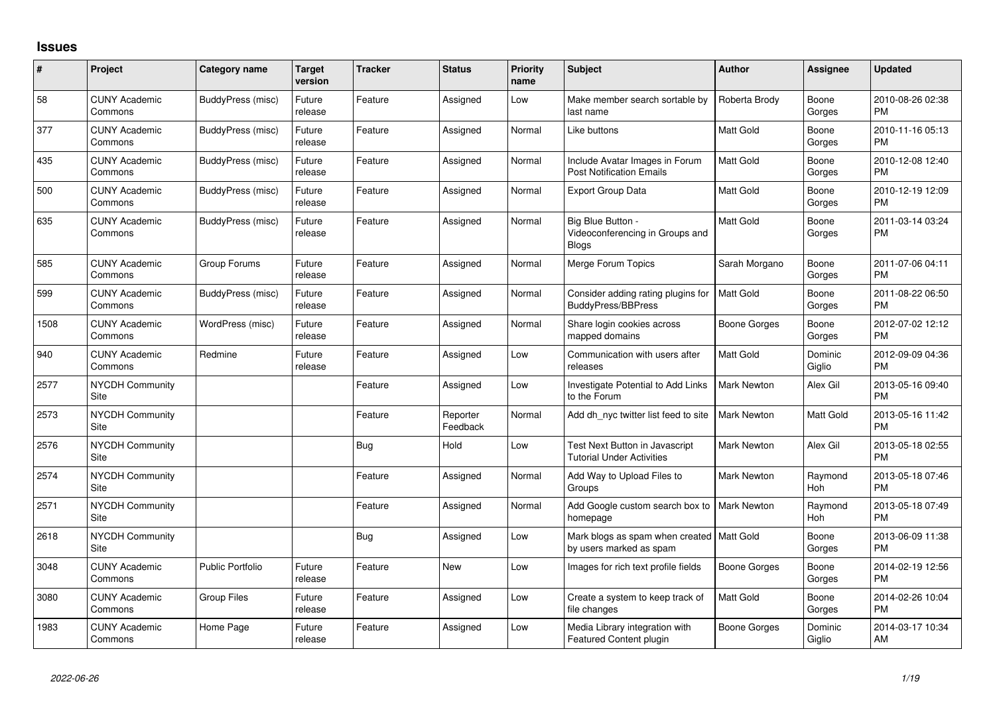## **Issues**

| #    | Project                         | <b>Category name</b>    | <b>Target</b><br>version | <b>Tracker</b> | <b>Status</b>        | <b>Priority</b><br>name | <b>Subject</b>                                                         | <b>Author</b>      | <b>Assignee</b>   | <b>Updated</b>                |
|------|---------------------------------|-------------------------|--------------------------|----------------|----------------------|-------------------------|------------------------------------------------------------------------|--------------------|-------------------|-------------------------------|
| 58   | <b>CUNY Academic</b><br>Commons | BuddyPress (misc)       | Future<br>release        | Feature        | Assigned             | Low                     | Make member search sortable by<br>last name                            | Roberta Brody      | Boone<br>Gorges   | 2010-08-26 02:38<br><b>PM</b> |
| 377  | <b>CUNY Academic</b><br>Commons | BuddyPress (misc)       | Future<br>release        | Feature        | Assigned             | Normal                  | Like buttons                                                           | Matt Gold          | Boone<br>Gorges   | 2010-11-16 05:13<br><b>PM</b> |
| 435  | <b>CUNY Academic</b><br>Commons | BuddyPress (misc)       | Future<br>release        | Feature        | Assigned             | Normal                  | Include Avatar Images in Forum<br><b>Post Notification Emails</b>      | <b>Matt Gold</b>   | Boone<br>Gorges   | 2010-12-08 12:40<br><b>PM</b> |
| 500  | <b>CUNY Academic</b><br>Commons | BuddyPress (misc)       | Future<br>release        | Feature        | Assigned             | Normal                  | <b>Export Group Data</b>                                               | <b>Matt Gold</b>   | Boone<br>Gorges   | 2010-12-19 12:09<br><b>PM</b> |
| 635  | <b>CUNY Academic</b><br>Commons | BuddyPress (misc)       | Future<br>release        | Feature        | Assigned             | Normal                  | Big Blue Button -<br>Videoconferencing in Groups and<br><b>Blogs</b>   | Matt Gold          | Boone<br>Gorges   | 2011-03-14 03:24<br><b>PM</b> |
| 585  | <b>CUNY Academic</b><br>Commons | Group Forums            | Future<br>release        | Feature        | Assigned             | Normal                  | Merge Forum Topics                                                     | Sarah Morgano      | Boone<br>Gorges   | 2011-07-06 04:11<br><b>PM</b> |
| 599  | <b>CUNY Academic</b><br>Commons | BuddyPress (misc)       | Future<br>release        | Feature        | Assigned             | Normal                  | Consider adding rating plugins for<br>BuddyPress/BBPress               | <b>Matt Gold</b>   | Boone<br>Gorges   | 2011-08-22 06:50<br><b>PM</b> |
| 1508 | <b>CUNY Academic</b><br>Commons | WordPress (misc)        | Future<br>release        | Feature        | Assigned             | Normal                  | Share login cookies across<br>mapped domains                           | Boone Gorges       | Boone<br>Gorges   | 2012-07-02 12:12<br><b>PM</b> |
| 940  | <b>CUNY Academic</b><br>Commons | Redmine                 | Future<br>release        | Feature        | Assigned             | Low                     | Communication with users after<br>releases                             | <b>Matt Gold</b>   | Dominic<br>Giglio | 2012-09-09 04:36<br><b>PM</b> |
| 2577 | <b>NYCDH Community</b><br>Site  |                         |                          | Feature        | Assigned             | Low                     | Investigate Potential to Add Links<br>to the Forum                     | <b>Mark Newton</b> | Alex Gil          | 2013-05-16 09:40<br><b>PM</b> |
| 2573 | NYCDH Community<br>Site         |                         |                          | Feature        | Reporter<br>Feedback | Normal                  | Add dh_nyc twitter list feed to site                                   | <b>Mark Newton</b> | Matt Gold         | 2013-05-16 11:42<br><b>PM</b> |
| 2576 | NYCDH Community<br>Site         |                         |                          | <b>Bug</b>     | Hold                 | Low                     | Test Next Button in Javascript<br><b>Tutorial Under Activities</b>     | <b>Mark Newton</b> | Alex Gil          | 2013-05-18 02:55<br><b>PM</b> |
| 2574 | <b>NYCDH Community</b><br>Site  |                         |                          | Feature        | Assigned             | Normal                  | Add Way to Upload Files to<br>Groups                                   | <b>Mark Newton</b> | Raymond<br>Hoh    | 2013-05-18 07:46<br><b>PM</b> |
| 2571 | NYCDH Community<br>Site         |                         |                          | Feature        | Assigned             | Normal                  | Add Google custom search box to   Mark Newton<br>homepage              |                    | Raymond<br>Hoh    | 2013-05-18 07:49<br><b>PM</b> |
| 2618 | <b>NYCDH Community</b><br>Site  |                         |                          | <b>Bug</b>     | Assigned             | Low                     | Mark blogs as spam when created   Matt Gold<br>by users marked as spam |                    | Boone<br>Gorges   | 2013-06-09 11:38<br><b>PM</b> |
| 3048 | <b>CUNY Academic</b><br>Commons | <b>Public Portfolio</b> | Future<br>release        | Feature        | <b>New</b>           | Low                     | Images for rich text profile fields                                    | Boone Gorges       | Boone<br>Gorges   | 2014-02-19 12:56<br><b>PM</b> |
| 3080 | <b>CUNY Academic</b><br>Commons | <b>Group Files</b>      | Future<br>release        | Feature        | Assigned             | Low                     | Create a system to keep track of<br>file changes                       | Matt Gold          | Boone<br>Gorges   | 2014-02-26 10:04<br><b>PM</b> |
| 1983 | <b>CUNY Academic</b><br>Commons | Home Page               | Future<br>release        | Feature        | Assigned             | Low                     | Media Library integration with<br>Featured Content plugin              | Boone Gorges       | Dominic<br>Giglio | 2014-03-17 10:34<br>AM        |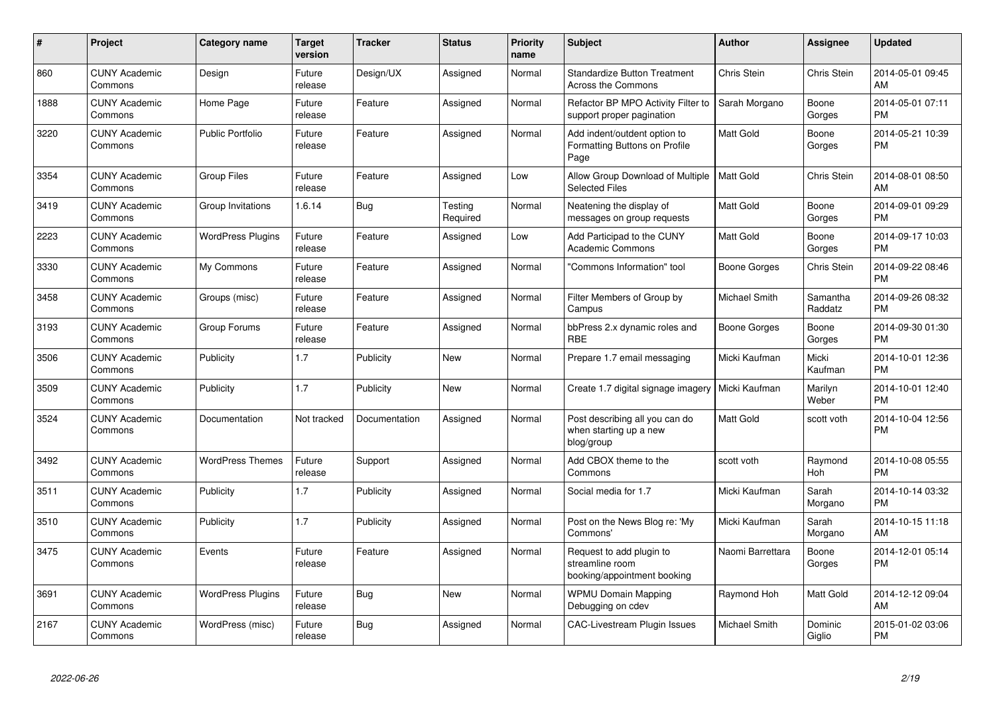| #    | Project                         | <b>Category name</b>     | Target<br>version | Tracker       | <b>Status</b>       | <b>Priority</b><br>name | <b>Subject</b>                                                             | <b>Author</b>    | <b>Assignee</b>     | <b>Updated</b>                |
|------|---------------------------------|--------------------------|-------------------|---------------|---------------------|-------------------------|----------------------------------------------------------------------------|------------------|---------------------|-------------------------------|
| 860  | <b>CUNY Academic</b><br>Commons | Design                   | Future<br>release | Design/UX     | Assigned            | Normal                  | <b>Standardize Button Treatment</b><br>Across the Commons                  | Chris Stein      | Chris Stein         | 2014-05-01 09:45<br>AM        |
| 1888 | <b>CUNY Academic</b><br>Commons | Home Page                | Future<br>release | Feature       | Assigned            | Normal                  | Refactor BP MPO Activity Filter to<br>support proper pagination            | Sarah Morgano    | Boone<br>Gorges     | 2014-05-01 07:11<br><b>PM</b> |
| 3220 | <b>CUNY Academic</b><br>Commons | <b>Public Portfolio</b>  | Future<br>release | Feature       | Assigned            | Normal                  | Add indent/outdent option to<br>Formatting Buttons on Profile<br>Page      | Matt Gold        | Boone<br>Gorges     | 2014-05-21 10:39<br><b>PM</b> |
| 3354 | <b>CUNY Academic</b><br>Commons | <b>Group Files</b>       | Future<br>release | Feature       | Assigned            | Low                     | Allow Group Download of Multiple<br><b>Selected Files</b>                  | <b>Matt Gold</b> | Chris Stein         | 2014-08-01 08:50<br>AM        |
| 3419 | <b>CUNY Academic</b><br>Commons | Group Invitations        | 1.6.14            | <b>Bug</b>    | Testing<br>Required | Normal                  | Neatening the display of<br>messages on group requests                     | Matt Gold        | Boone<br>Gorges     | 2014-09-01 09:29<br><b>PM</b> |
| 2223 | <b>CUNY Academic</b><br>Commons | <b>WordPress Plugins</b> | Future<br>release | Feature       | Assigned            | Low                     | Add Participad to the CUNY<br><b>Academic Commons</b>                      | Matt Gold        | Boone<br>Gorges     | 2014-09-17 10:03<br><b>PM</b> |
| 3330 | <b>CUNY Academic</b><br>Commons | My Commons               | Future<br>release | Feature       | Assigned            | Normal                  | 'Commons Information" tool                                                 | Boone Gorges     | Chris Stein         | 2014-09-22 08:46<br><b>PM</b> |
| 3458 | <b>CUNY Academic</b><br>Commons | Groups (misc)            | Future<br>release | Feature       | Assigned            | Normal                  | Filter Members of Group by<br>Campus                                       | Michael Smith    | Samantha<br>Raddatz | 2014-09-26 08:32<br><b>PM</b> |
| 3193 | <b>CUNY Academic</b><br>Commons | Group Forums             | Future<br>release | Feature       | Assigned            | Normal                  | bbPress 2.x dynamic roles and<br><b>RBF</b>                                | Boone Gorges     | Boone<br>Gorges     | 2014-09-30 01:30<br><b>PM</b> |
| 3506 | <b>CUNY Academic</b><br>Commons | Publicity                | 1.7               | Publicity     | <b>New</b>          | Normal                  | Prepare 1.7 email messaging                                                | Micki Kaufman    | Micki<br>Kaufman    | 2014-10-01 12:36<br><b>PM</b> |
| 3509 | <b>CUNY Academic</b><br>Commons | Publicity                | 1.7               | Publicity     | <b>New</b>          | Normal                  | Create 1.7 digital signage imagery                                         | Micki Kaufman    | Marilyn<br>Weber    | 2014-10-01 12:40<br><b>PM</b> |
| 3524 | <b>CUNY Academic</b><br>Commons | Documentation            | Not tracked       | Documentation | Assigned            | Normal                  | Post describing all you can do<br>when starting up a new<br>blog/group     | Matt Gold        | scott voth          | 2014-10-04 12:56<br><b>PM</b> |
| 3492 | <b>CUNY Academic</b><br>Commons | <b>WordPress Themes</b>  | Future<br>release | Support       | Assigned            | Normal                  | Add CBOX theme to the<br>Commons                                           | scott voth       | Raymond<br>Hoh      | 2014-10-08 05:55<br><b>PM</b> |
| 3511 | <b>CUNY Academic</b><br>Commons | Publicity                | 1.7               | Publicity     | Assigned            | Normal                  | Social media for 1.7                                                       | Micki Kaufman    | Sarah<br>Morgano    | 2014-10-14 03:32<br><b>PM</b> |
| 3510 | <b>CUNY Academic</b><br>Commons | Publicity                | 1.7               | Publicity     | Assigned            | Normal                  | Post on the News Blog re: 'My<br>Commons'                                  | Micki Kaufman    | Sarah<br>Morgano    | 2014-10-15 11:18<br>AM        |
| 3475 | <b>CUNY Academic</b><br>Commons | Events                   | Future<br>release | Feature       | Assigned            | Normal                  | Request to add plugin to<br>streamline room<br>booking/appointment booking | Naomi Barrettara | Boone<br>Gorges     | 2014-12-01 05:14<br><b>PM</b> |
| 3691 | <b>CUNY Academic</b><br>Commons | <b>WordPress Plugins</b> | Future<br>release | Bug           | New                 | Normal                  | <b>WPMU Domain Mapping</b><br>Debugging on cdev                            | Raymond Hoh      | Matt Gold           | 2014-12-12 09:04<br>AM        |
| 2167 | <b>CUNY Academic</b><br>Commons | WordPress (misc)         | Future<br>release | Bug           | Assigned            | Normal                  | CAC-Livestream Plugin Issues                                               | Michael Smith    | Dominic<br>Giglio   | 2015-01-02 03:06<br><b>PM</b> |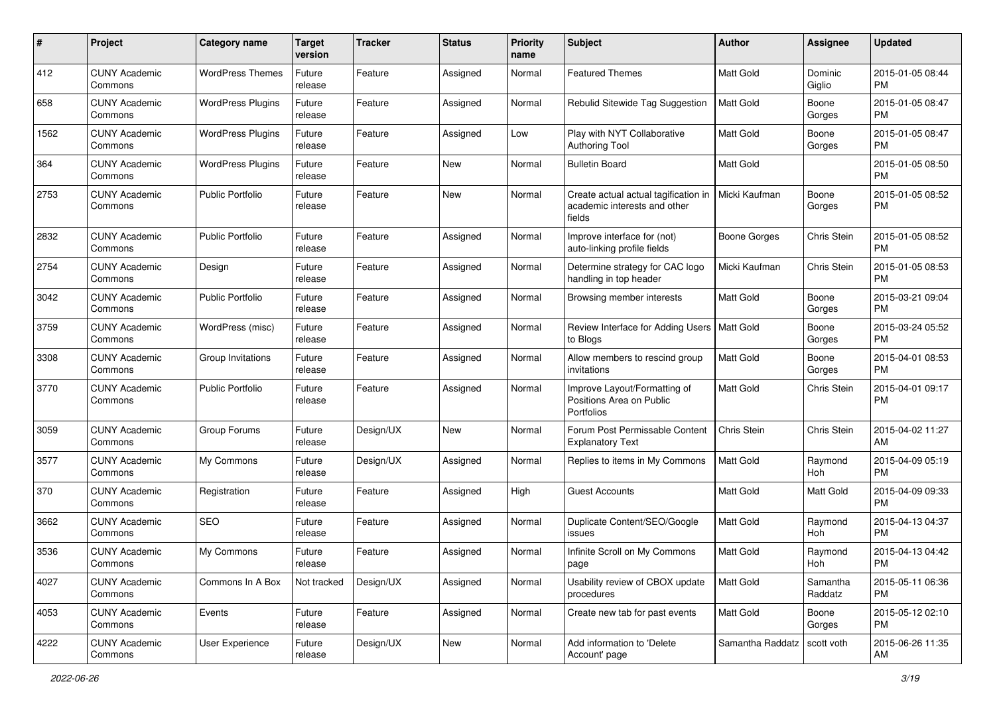| #    | Project                         | <b>Category name</b>     | <b>Target</b><br>version | <b>Tracker</b> | <b>Status</b> | <b>Priority</b><br>name | <b>Subject</b>                                                                 | Author              | Assignee            | <b>Updated</b>                |
|------|---------------------------------|--------------------------|--------------------------|----------------|---------------|-------------------------|--------------------------------------------------------------------------------|---------------------|---------------------|-------------------------------|
| 412  | <b>CUNY Academic</b><br>Commons | <b>WordPress Themes</b>  | Future<br>release        | Feature        | Assigned      | Normal                  | <b>Featured Themes</b>                                                         | Matt Gold           | Dominic<br>Giglio   | 2015-01-05 08:44<br><b>PM</b> |
| 658  | <b>CUNY Academic</b><br>Commons | <b>WordPress Plugins</b> | Future<br>release        | Feature        | Assigned      | Normal                  | Rebulid Sitewide Tag Suggestion                                                | Matt Gold           | Boone<br>Gorges     | 2015-01-05 08:47<br><b>PM</b> |
| 1562 | <b>CUNY Academic</b><br>Commons | <b>WordPress Plugins</b> | Future<br>release        | Feature        | Assigned      | Low                     | Play with NYT Collaborative<br><b>Authoring Tool</b>                           | Matt Gold           | Boone<br>Gorges     | 2015-01-05 08:47<br><b>PM</b> |
| 364  | <b>CUNY Academic</b><br>Commons | <b>WordPress Plugins</b> | Future<br>release        | Feature        | <b>New</b>    | Normal                  | <b>Bulletin Board</b>                                                          | <b>Matt Gold</b>    |                     | 2015-01-05 08:50<br><b>PM</b> |
| 2753 | <b>CUNY Academic</b><br>Commons | <b>Public Portfolio</b>  | Future<br>release        | Feature        | <b>New</b>    | Normal                  | Create actual actual tagification in<br>academic interests and other<br>fields | Micki Kaufman       | Boone<br>Gorges     | 2015-01-05 08:52<br><b>PM</b> |
| 2832 | <b>CUNY Academic</b><br>Commons | <b>Public Portfolio</b>  | Future<br>release        | Feature        | Assigned      | Normal                  | Improve interface for (not)<br>auto-linking profile fields                     | <b>Boone Gorges</b> | Chris Stein         | 2015-01-05 08:52<br><b>PM</b> |
| 2754 | <b>CUNY Academic</b><br>Commons | Design                   | Future<br>release        | Feature        | Assigned      | Normal                  | Determine strategy for CAC logo<br>handling in top header                      | Micki Kaufman       | Chris Stein         | 2015-01-05 08:53<br><b>PM</b> |
| 3042 | <b>CUNY Academic</b><br>Commons | <b>Public Portfolio</b>  | Future<br>release        | Feature        | Assigned      | Normal                  | Browsing member interests                                                      | Matt Gold           | Boone<br>Gorges     | 2015-03-21 09:04<br><b>PM</b> |
| 3759 | <b>CUNY Academic</b><br>Commons | WordPress (misc)         | Future<br>release        | Feature        | Assigned      | Normal                  | Review Interface for Adding Users   Matt Gold<br>to Blogs                      |                     | Boone<br>Gorges     | 2015-03-24 05:52<br><b>PM</b> |
| 3308 | <b>CUNY Academic</b><br>Commons | Group Invitations        | Future<br>release        | Feature        | Assigned      | Normal                  | Allow members to rescind group<br>invitations                                  | Matt Gold           | Boone<br>Gorges     | 2015-04-01 08:53<br><b>PM</b> |
| 3770 | <b>CUNY Academic</b><br>Commons | <b>Public Portfolio</b>  | Future<br>release        | Feature        | Assigned      | Normal                  | Improve Layout/Formatting of<br>Positions Area on Public<br>Portfolios         | Matt Gold           | Chris Stein         | 2015-04-01 09:17<br><b>PM</b> |
| 3059 | <b>CUNY Academic</b><br>Commons | Group Forums             | Future<br>release        | Design/UX      | <b>New</b>    | Normal                  | Forum Post Permissable Content<br><b>Explanatory Text</b>                      | Chris Stein         | Chris Stein         | 2015-04-02 11:27<br>AM        |
| 3577 | <b>CUNY Academic</b><br>Commons | My Commons               | Future<br>release        | Design/UX      | Assigned      | Normal                  | Replies to items in My Commons                                                 | <b>Matt Gold</b>    | Raymond<br>Hoh      | 2015-04-09 05:19<br><b>PM</b> |
| 370  | <b>CUNY Academic</b><br>Commons | Registration             | Future<br>release        | Feature        | Assigned      | High                    | Guest Accounts                                                                 | Matt Gold           | Matt Gold           | 2015-04-09 09:33<br><b>PM</b> |
| 3662 | <b>CUNY Academic</b><br>Commons | <b>SEO</b>               | Future<br>release        | Feature        | Assigned      | Normal                  | Duplicate Content/SEO/Google<br>issues                                         | Matt Gold           | Raymond<br>Hoh      | 2015-04-13 04:37<br><b>PM</b> |
| 3536 | <b>CUNY Academic</b><br>Commons | My Commons               | Future<br>release        | Feature        | Assigned      | Normal                  | Infinite Scroll on My Commons<br>page                                          | Matt Gold           | Raymond<br>Hoh      | 2015-04-13 04:42<br>PM        |
| 4027 | <b>CUNY Academic</b><br>Commons | Commons In A Box         | Not tracked              | Design/UX      | Assigned      | Normal                  | Usability review of CBOX update<br>procedures                                  | Matt Gold           | Samantha<br>Raddatz | 2015-05-11 06:36<br><b>PM</b> |
| 4053 | <b>CUNY Academic</b><br>Commons | Events                   | Future<br>release        | Feature        | Assigned      | Normal                  | Create new tab for past events                                                 | Matt Gold           | Boone<br>Gorges     | 2015-05-12 02:10<br><b>PM</b> |
| 4222 | <b>CUNY Academic</b><br>Commons | User Experience          | Future<br>release        | Design/UX      | New           | Normal                  | Add information to 'Delete<br>Account' page                                    | Samantha Raddatz    | scott voth          | 2015-06-26 11:35<br>AM        |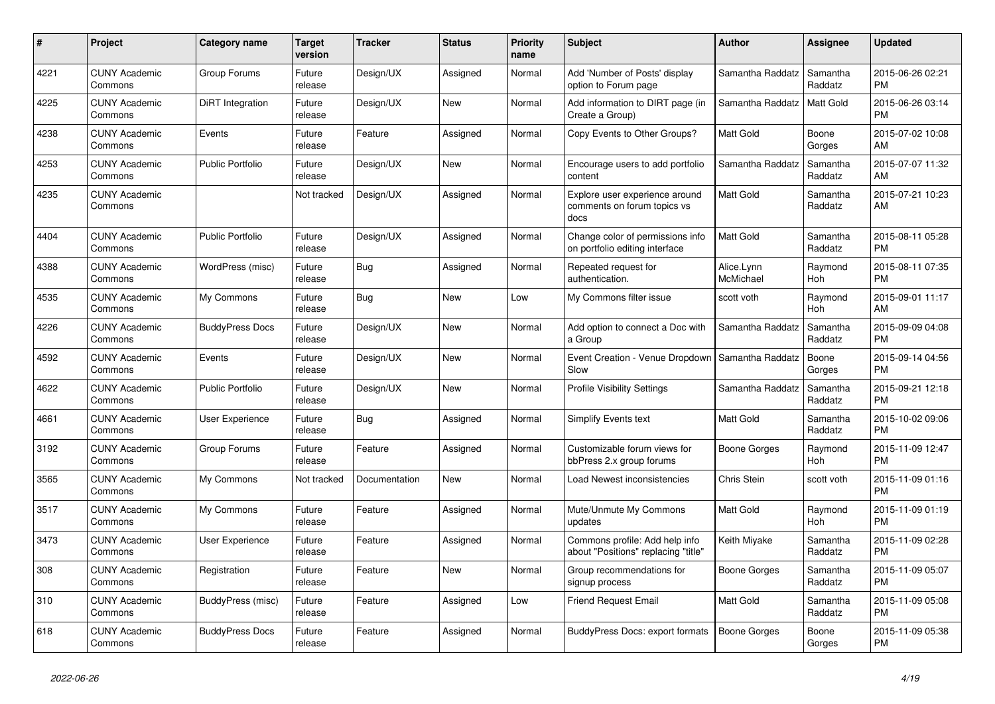| #    | Project                         | <b>Category name</b>    | <b>Target</b><br>version | <b>Tracker</b> | <b>Status</b> | <b>Priority</b><br>name | <b>Subject</b>                                                        | <b>Author</b>           | Assignee            | <b>Updated</b>                |
|------|---------------------------------|-------------------------|--------------------------|----------------|---------------|-------------------------|-----------------------------------------------------------------------|-------------------------|---------------------|-------------------------------|
| 4221 | <b>CUNY Academic</b><br>Commons | Group Forums            | Future<br>release        | Design/UX      | Assigned      | Normal                  | Add 'Number of Posts' display<br>option to Forum page                 | Samantha Raddatz        | Samantha<br>Raddatz | 2015-06-26 02:21<br><b>PM</b> |
| 4225 | <b>CUNY Academic</b><br>Commons | <b>DiRT</b> Integration | Future<br>release        | Design/UX      | <b>New</b>    | Normal                  | Add information to DIRT page (in<br>Create a Group)                   | Samantha Raddatz        | <b>Matt Gold</b>    | 2015-06-26 03:14<br><b>PM</b> |
| 4238 | <b>CUNY Academic</b><br>Commons | Events                  | Future<br>release        | Feature        | Assigned      | Normal                  | Copy Events to Other Groups?                                          | Matt Gold               | Boone<br>Gorges     | 2015-07-02 10:08<br>AM        |
| 4253 | <b>CUNY Academic</b><br>Commons | <b>Public Portfolio</b> | Future<br>release        | Design/UX      | <b>New</b>    | Normal                  | Encourage users to add portfolio<br>content                           | Samantha Raddatz        | Samantha<br>Raddatz | 2015-07-07 11:32<br>AM        |
| 4235 | <b>CUNY Academic</b><br>Commons |                         | Not tracked              | Design/UX      | Assigned      | Normal                  | Explore user experience around<br>comments on forum topics vs<br>docs | Matt Gold               | Samantha<br>Raddatz | 2015-07-21 10:23<br>AM        |
| 4404 | <b>CUNY Academic</b><br>Commons | <b>Public Portfolio</b> | Future<br>release        | Design/UX      | Assigned      | Normal                  | Change color of permissions info<br>on portfolio editing interface    | <b>Matt Gold</b>        | Samantha<br>Raddatz | 2015-08-11 05:28<br><b>PM</b> |
| 4388 | <b>CUNY Academic</b><br>Commons | WordPress (misc)        | Future<br>release        | Bug            | Assigned      | Normal                  | Repeated request for<br>authentication.                               | Alice.Lynn<br>McMichael | Raymond<br>Hoh      | 2015-08-11 07:35<br><b>PM</b> |
| 4535 | <b>CUNY Academic</b><br>Commons | My Commons              | Future<br>release        | Bug            | New           | Low                     | My Commons filter issue                                               | scott voth              | Raymond<br>Hoh      | 2015-09-01 11:17<br>AM        |
| 4226 | <b>CUNY Academic</b><br>Commons | <b>BuddyPress Docs</b>  | Future<br>release        | Design/UX      | <b>New</b>    | Normal                  | Add option to connect a Doc with<br>a Group                           | Samantha Raddatz        | Samantha<br>Raddatz | 2015-09-09 04:08<br><b>PM</b> |
| 4592 | <b>CUNY Academic</b><br>Commons | Events                  | Future<br>release        | Design/UX      | <b>New</b>    | Normal                  | Event Creation - Venue Dropdown<br>Slow                               | Samantha Raddatz        | Boone<br>Gorges     | 2015-09-14 04:56<br><b>PM</b> |
| 4622 | <b>CUNY Academic</b><br>Commons | <b>Public Portfolio</b> | Future<br>release        | Design/UX      | <b>New</b>    | Normal                  | <b>Profile Visibility Settings</b>                                    | Samantha Raddatz        | Samantha<br>Raddatz | 2015-09-21 12:18<br><b>PM</b> |
| 4661 | <b>CUNY Academic</b><br>Commons | <b>User Experience</b>  | Future<br>release        | Bug            | Assigned      | Normal                  | <b>Simplify Events text</b>                                           | <b>Matt Gold</b>        | Samantha<br>Raddatz | 2015-10-02 09:06<br><b>PM</b> |
| 3192 | <b>CUNY Academic</b><br>Commons | Group Forums            | Future<br>release        | Feature        | Assigned      | Normal                  | Customizable forum views for<br>bbPress 2.x group forums              | Boone Gorges            | Raymond<br>Hoh      | 2015-11-09 12:47<br><b>PM</b> |
| 3565 | <b>CUNY Academic</b><br>Commons | My Commons              | Not tracked              | Documentation  | <b>New</b>    | Normal                  | Load Newest inconsistencies                                           | <b>Chris Stein</b>      | scott voth          | 2015-11-09 01:16<br><b>PM</b> |
| 3517 | <b>CUNY Academic</b><br>Commons | My Commons              | Future<br>release        | Feature        | Assigned      | Normal                  | Mute/Unmute My Commons<br>updates                                     | <b>Matt Gold</b>        | Raymond<br>Hoh      | 2015-11-09 01:19<br><b>PM</b> |
| 3473 | <b>CUNY Academic</b><br>Commons | <b>User Experience</b>  | Future<br>release        | Feature        | Assigned      | Normal                  | Commons profile: Add help info<br>about "Positions" replacing "title" | Keith Miyake            | Samantha<br>Raddatz | 2015-11-09 02:28<br><b>PM</b> |
| 308  | <b>CUNY Academic</b><br>Commons | Registration            | Future<br>release        | Feature        | <b>New</b>    | Normal                  | Group recommendations for<br>signup process                           | Boone Gorges            | Samantha<br>Raddatz | 2015-11-09 05:07<br><b>PM</b> |
| 310  | <b>CUNY Academic</b><br>Commons | BuddyPress (misc)       | Future<br>release        | Feature        | Assigned      | Low                     | <b>Friend Request Email</b>                                           | <b>Matt Gold</b>        | Samantha<br>Raddatz | 2015-11-09 05:08<br><b>PM</b> |
| 618  | <b>CUNY Academic</b><br>Commons | <b>BuddyPress Docs</b>  | Future<br>release        | Feature        | Assigned      | Normal                  | BuddyPress Docs: export formats                                       | Boone Gorges            | Boone<br>Gorges     | 2015-11-09 05:38<br><b>PM</b> |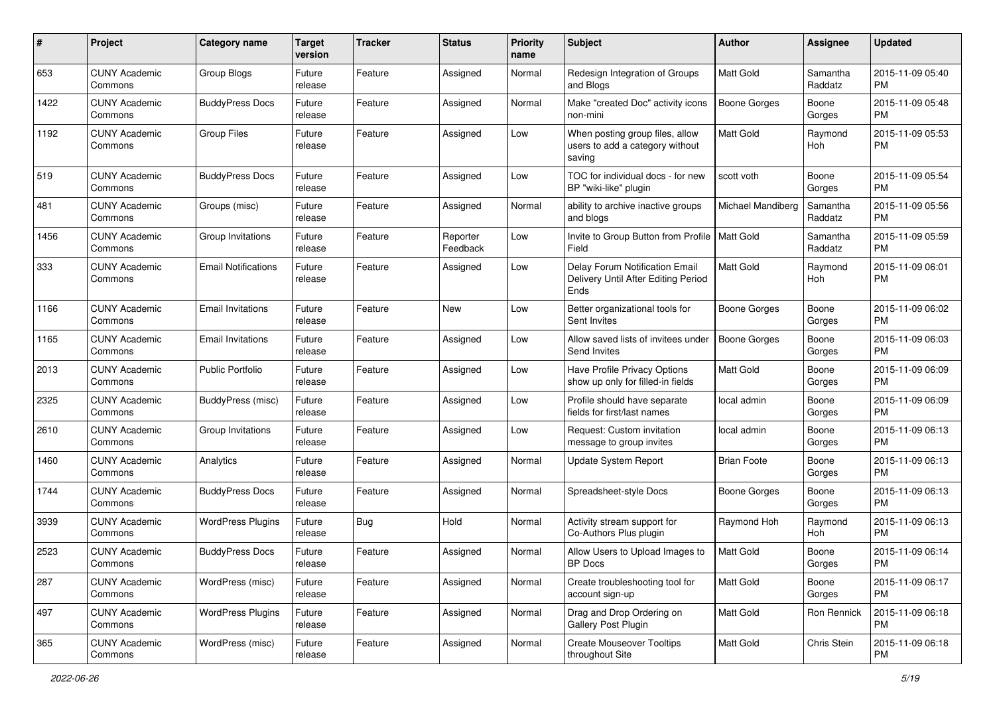| #    | Project                         | <b>Category name</b>       | <b>Target</b><br>version | <b>Tracker</b> | <b>Status</b>        | <b>Priority</b><br>name | Subject                                                                       | Author              | Assignee            | <b>Updated</b>                |
|------|---------------------------------|----------------------------|--------------------------|----------------|----------------------|-------------------------|-------------------------------------------------------------------------------|---------------------|---------------------|-------------------------------|
| 653  | <b>CUNY Academic</b><br>Commons | Group Blogs                | Future<br>release        | Feature        | Assigned             | Normal                  | Redesign Integration of Groups<br>and Blogs                                   | <b>Matt Gold</b>    | Samantha<br>Raddatz | 2015-11-09 05:40<br><b>PM</b> |
| 1422 | <b>CUNY Academic</b><br>Commons | <b>BuddyPress Docs</b>     | Future<br>release        | Feature        | Assigned             | Normal                  | Make "created Doc" activity icons<br>non-mini                                 | <b>Boone Gorges</b> | Boone<br>Gorges     | 2015-11-09 05:48<br><b>PM</b> |
| 1192 | CUNY Academic<br>Commons        | <b>Group Files</b>         | Future<br>release        | Feature        | Assigned             | Low                     | When posting group files, allow<br>users to add a category without<br>saving  | <b>Matt Gold</b>    | Raymond<br>Hoh      | 2015-11-09 05:53<br><b>PM</b> |
| 519  | CUNY Academic<br>Commons        | <b>BuddyPress Docs</b>     | Future<br>release        | Feature        | Assigned             | Low                     | TOC for individual docs - for new<br>BP "wiki-like" plugin                    | scott voth          | Boone<br>Gorges     | 2015-11-09 05:54<br><b>PM</b> |
| 481  | <b>CUNY Academic</b><br>Commons | Groups (misc)              | Future<br>release        | Feature        | Assigned             | Normal                  | ability to archive inactive groups<br>and blogs                               | Michael Mandiberg   | Samantha<br>Raddatz | 2015-11-09 05:56<br><b>PM</b> |
| 1456 | CUNY Academic<br>Commons        | Group Invitations          | Future<br>release        | Feature        | Reporter<br>Feedback | Low                     | Invite to Group Button from Profile   Matt Gold<br>Field                      |                     | Samantha<br>Raddatz | 2015-11-09 05:59<br><b>PM</b> |
| 333  | <b>CUNY Academic</b><br>Commons | <b>Email Notifications</b> | Future<br>release        | Feature        | Assigned             | Low                     | Delay Forum Notification Email<br>Delivery Until After Editing Period<br>Ends | <b>Matt Gold</b>    | Raymond<br>Hoh      | 2015-11-09 06:01<br><b>PM</b> |
| 1166 | <b>CUNY Academic</b><br>Commons | <b>Email Invitations</b>   | Future<br>release        | Feature        | New                  | Low                     | Better organizational tools for<br>Sent Invites                               | <b>Boone Gorges</b> | Boone<br>Gorges     | 2015-11-09 06:02<br><b>PM</b> |
| 1165 | <b>CUNY Academic</b><br>Commons | <b>Email Invitations</b>   | Future<br>release        | Feature        | Assigned             | Low                     | Allow saved lists of invitees under<br>Send Invites                           | <b>Boone Gorges</b> | Boone<br>Gorges     | 2015-11-09 06:03<br><b>PM</b> |
| 2013 | <b>CUNY Academic</b><br>Commons | <b>Public Portfolio</b>    | Future<br>release        | Feature        | Assigned             | Low                     | Have Profile Privacy Options<br>show up only for filled-in fields             | <b>Matt Gold</b>    | Boone<br>Gorges     | 2015-11-09 06:09<br><b>PM</b> |
| 2325 | <b>CUNY Academic</b><br>Commons | BuddyPress (misc)          | Future<br>release        | Feature        | Assigned             | Low                     | Profile should have separate<br>fields for first/last names                   | local admin         | Boone<br>Gorges     | 2015-11-09 06:09<br><b>PM</b> |
| 2610 | <b>CUNY Academic</b><br>Commons | Group Invitations          | Future<br>release        | Feature        | Assigned             | Low                     | Request: Custom invitation<br>message to group invites                        | local admin         | Boone<br>Gorges     | 2015-11-09 06:13<br><b>PM</b> |
| 1460 | <b>CUNY Academic</b><br>Commons | Analytics                  | Future<br>release        | Feature        | Assigned             | Normal                  | Update System Report                                                          | <b>Brian Foote</b>  | Boone<br>Gorges     | 2015-11-09 06:13<br><b>PM</b> |
| 1744 | <b>CUNY Academic</b><br>Commons | <b>BuddyPress Docs</b>     | Future<br>release        | Feature        | Assigned             | Normal                  | Spreadsheet-style Docs                                                        | <b>Boone Gorges</b> | Boone<br>Gorges     | 2015-11-09 06:13<br><b>PM</b> |
| 3939 | <b>CUNY Academic</b><br>Commons | <b>WordPress Plugins</b>   | Future<br>release        | <b>Bug</b>     | Hold                 | Normal                  | Activity stream support for<br>Co-Authors Plus plugin                         | Raymond Hoh         | Raymond<br>Hoh      | 2015-11-09 06:13<br><b>PM</b> |
| 2523 | <b>CUNY Academic</b><br>Commons | <b>BuddyPress Docs</b>     | Future<br>release        | Feature        | Assigned             | Normal                  | Allow Users to Upload Images to<br>BP Docs                                    | Matt Gold           | Boone<br>Gorges     | 2015-11-09 06:14<br>PM        |
| 287  | <b>CUNY Academic</b><br>Commons | WordPress (misc)           | Future<br>release        | Feature        | Assigned             | Normal                  | Create troubleshooting tool for<br>account sign-up                            | Matt Gold           | Boone<br>Gorges     | 2015-11-09 06:17<br><b>PM</b> |
| 497  | <b>CUNY Academic</b><br>Commons | <b>WordPress Plugins</b>   | Future<br>release        | Feature        | Assigned             | Normal                  | Drag and Drop Ordering on<br>Gallery Post Plugin                              | Matt Gold           | Ron Rennick         | 2015-11-09 06:18<br>PM        |
| 365  | <b>CUNY Academic</b><br>Commons | WordPress (misc)           | Future<br>release        | Feature        | Assigned             | Normal                  | <b>Create Mouseover Tooltips</b><br>throughout Site                           | Matt Gold           | Chris Stein         | 2015-11-09 06:18<br>PM        |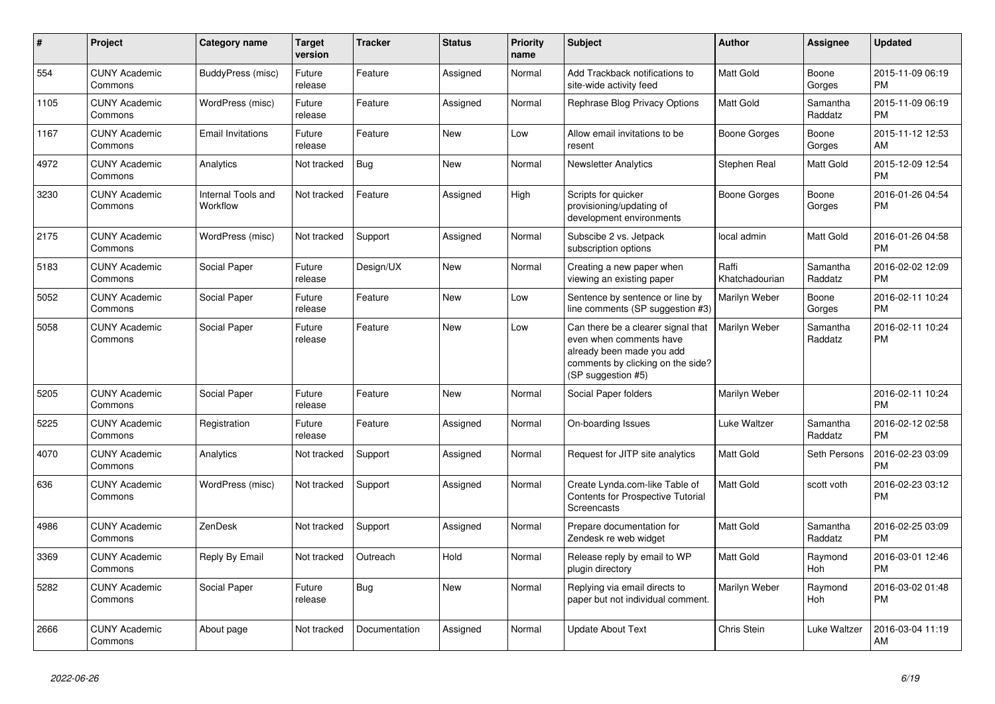| $\#$ | <b>Project</b>                  | Category name                  | <b>Target</b><br>version | <b>Tracker</b> | <b>Status</b> | <b>Priority</b><br>name | <b>Subject</b>                                                                                                                                        | Author                  | Assignee              | <b>Updated</b>                |
|------|---------------------------------|--------------------------------|--------------------------|----------------|---------------|-------------------------|-------------------------------------------------------------------------------------------------------------------------------------------------------|-------------------------|-----------------------|-------------------------------|
| 554  | <b>CUNY Academic</b><br>Commons | BuddyPress (misc)              | Future<br>release        | Feature        | Assigned      | Normal                  | Add Trackback notifications to<br>site-wide activity feed                                                                                             | Matt Gold               | Boone<br>Gorges       | 2015-11-09 06:19<br>PM        |
| 1105 | <b>CUNY Academic</b><br>Commons | WordPress (misc)               | Future<br>release        | Feature        | Assigned      | Normal                  | Rephrase Blog Privacy Options                                                                                                                         | <b>Matt Gold</b>        | Samantha<br>Raddatz   | 2015-11-09 06:19<br><b>PM</b> |
| 1167 | <b>CUNY Academic</b><br>Commons | <b>Email Invitations</b>       | Future<br>release        | Feature        | <b>New</b>    | Low                     | Allow email invitations to be<br>resent                                                                                                               | Boone Gorges            | Boone<br>Gorges       | 2015-11-12 12:53<br>AM        |
| 4972 | <b>CUNY Academic</b><br>Commons | Analytics                      | Not tracked              | <b>Bug</b>     | <b>New</b>    | Normal                  | <b>Newsletter Analytics</b>                                                                                                                           | Stephen Real            | Matt Gold             | 2015-12-09 12:54<br><b>PM</b> |
| 3230 | <b>CUNY Academic</b><br>Commons | Internal Tools and<br>Workflow | Not tracked              | Feature        | Assigned      | High                    | Scripts for quicker<br>provisioning/updating of<br>development environments                                                                           | Boone Gorges            | Boone<br>Gorges       | 2016-01-26 04:54<br><b>PM</b> |
| 2175 | <b>CUNY Academic</b><br>Commons | WordPress (misc)               | Not tracked              | Support        | Assigned      | Normal                  | Subscibe 2 vs. Jetpack<br>subscription options                                                                                                        | local admin             | <b>Matt Gold</b>      | 2016-01-26 04:58<br><b>PM</b> |
| 5183 | <b>CUNY Academic</b><br>Commons | Social Paper                   | Future<br>release        | Design/UX      | <b>New</b>    | Normal                  | Creating a new paper when<br>viewing an existing paper                                                                                                | Raffi<br>Khatchadourian | Samantha<br>Raddatz   | 2016-02-02 12:09<br><b>PM</b> |
| 5052 | <b>CUNY Academic</b><br>Commons | Social Paper                   | Future<br>release        | Feature        | <b>New</b>    | Low                     | Sentence by sentence or line by<br>line comments (SP suggestion #3)                                                                                   | Marilyn Weber           | Boone<br>Gorges       | 2016-02-11 10:24<br><b>PM</b> |
| 5058 | <b>CUNY Academic</b><br>Commons | Social Paper                   | Future<br>release        | Feature        | <b>New</b>    | Low                     | Can there be a clearer signal that<br>even when comments have<br>already been made you add<br>comments by clicking on the side?<br>(SP suggestion #5) | Marilyn Weber           | Samantha<br>Raddatz   | 2016-02-11 10:24<br><b>PM</b> |
| 5205 | <b>CUNY Academic</b><br>Commons | Social Paper                   | Future<br>release        | Feature        | <b>New</b>    | Normal                  | Social Paper folders                                                                                                                                  | Marilyn Weber           |                       | 2016-02-11 10:24<br><b>PM</b> |
| 5225 | <b>CUNY Academic</b><br>Commons | Registration                   | Future<br>release        | Feature        | Assigned      | Normal                  | On-boarding Issues                                                                                                                                    | Luke Waltzer            | Samantha<br>Raddatz   | 2016-02-12 02:58<br><b>PM</b> |
| 4070 | <b>CUNY Academic</b><br>Commons | Analytics                      | Not tracked              | Support        | Assigned      | Normal                  | Request for JITP site analytics                                                                                                                       | Matt Gold               | Seth Persons          | 2016-02-23 03:09<br><b>PM</b> |
| 636  | <b>CUNY Academic</b><br>Commons | WordPress (misc)               | Not tracked              | Support        | Assigned      | Normal                  | Create Lynda.com-like Table of<br><b>Contents for Prospective Tutorial</b><br>Screencasts                                                             | <b>Matt Gold</b>        | scott voth            | 2016-02-23 03:12<br><b>PM</b> |
| 4986 | <b>CUNY Academic</b><br>Commons | ZenDesk                        | Not tracked              | Support        | Assigned      | Normal                  | Prepare documentation for<br>Zendesk re web widget                                                                                                    | <b>Matt Gold</b>        | Samantha<br>Raddatz   | 2016-02-25 03:09<br><b>PM</b> |
| 3369 | <b>CUNY Academic</b><br>Commons | Reply By Email                 | Not tracked              | Outreach       | Hold          | Normal                  | Release reply by email to WP<br>plugin directory                                                                                                      | Matt Gold               | Raymond<br><b>Hoh</b> | 2016-03-01 12:46<br><b>PM</b> |
| 5282 | <b>CUNY Academic</b><br>Commons | Social Paper                   | Future<br>release        | <b>Bug</b>     | <b>New</b>    | Normal                  | Replying via email directs to<br>paper but not individual comment.                                                                                    | Marilyn Weber           | Raymond<br>Hoh        | 2016-03-02 01:48<br><b>PM</b> |
| 2666 | <b>CUNY Academic</b><br>Commons | About page                     | Not tracked              | Documentation  | Assigned      | Normal                  | Update About Text                                                                                                                                     | <b>Chris Stein</b>      | Luke Waltzer          | 2016-03-04 11:19<br>AM        |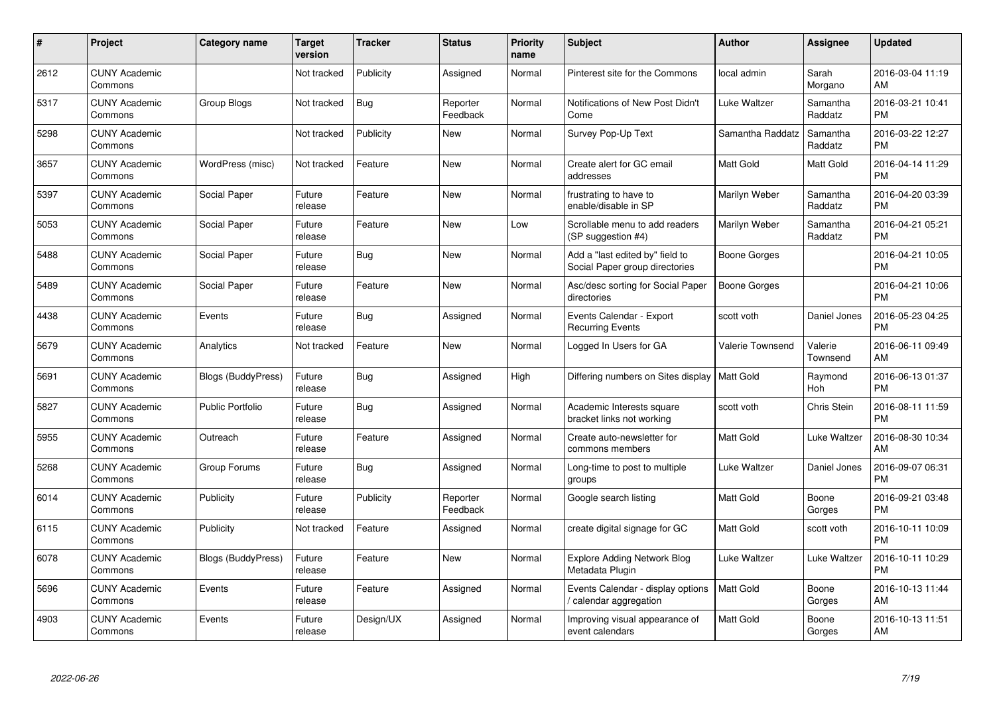| #    | Project                         | <b>Category name</b>      | <b>Target</b><br>version | <b>Tracker</b> | <b>Status</b>        | <b>Priority</b><br>name | <b>Subject</b>                                                    | <b>Author</b>           | <b>Assignee</b>     | <b>Updated</b>                |
|------|---------------------------------|---------------------------|--------------------------|----------------|----------------------|-------------------------|-------------------------------------------------------------------|-------------------------|---------------------|-------------------------------|
| 2612 | <b>CUNY Academic</b><br>Commons |                           | Not tracked              | Publicity      | Assigned             | Normal                  | Pinterest site for the Commons                                    | local admin             | Sarah<br>Morgano    | 2016-03-04 11:19<br>AM        |
| 5317 | <b>CUNY Academic</b><br>Commons | Group Blogs               | Not tracked              | Bug            | Reporter<br>Feedback | Normal                  | Notifications of New Post Didn't<br>Come                          | Luke Waltzer            | Samantha<br>Raddatz | 2016-03-21 10:41<br><b>PM</b> |
| 5298 | <b>CUNY Academic</b><br>Commons |                           | Not tracked              | Publicity      | <b>New</b>           | Normal                  | Survey Pop-Up Text                                                | Samantha Raddatz        | Samantha<br>Raddatz | 2016-03-22 12:27<br><b>PM</b> |
| 3657 | <b>CUNY Academic</b><br>Commons | WordPress (misc)          | Not tracked              | Feature        | <b>New</b>           | Normal                  | Create alert for GC email<br>addresses                            | Matt Gold               | <b>Matt Gold</b>    | 2016-04-14 11:29<br>PM        |
| 5397 | <b>CUNY Academic</b><br>Commons | Social Paper              | Future<br>release        | Feature        | <b>New</b>           | Normal                  | frustrating to have to<br>enable/disable in SP                    | Marilyn Weber           | Samantha<br>Raddatz | 2016-04-20 03:39<br><b>PM</b> |
| 5053 | <b>CUNY Academic</b><br>Commons | Social Paper              | Future<br>release        | Feature        | New                  | Low                     | Scrollable menu to add readers<br>(SP suggestion #4)              | Marilyn Weber           | Samantha<br>Raddatz | 2016-04-21 05:21<br>PМ        |
| 5488 | <b>CUNY Academic</b><br>Commons | Social Paper              | Future<br>release        | Bug            | <b>New</b>           | Normal                  | Add a "last edited by" field to<br>Social Paper group directories | <b>Boone Gorges</b>     |                     | 2016-04-21 10:05<br><b>PM</b> |
| 5489 | <b>CUNY Academic</b><br>Commons | <b>Social Paper</b>       | Future<br>release        | Feature        | <b>New</b>           | Normal                  | Asc/desc sorting for Social Paper<br>directories                  | <b>Boone Gorges</b>     |                     | 2016-04-21 10:06<br><b>PM</b> |
| 4438 | <b>CUNY Academic</b><br>Commons | Events                    | Future<br>release        | Bug            | Assigned             | Normal                  | Events Calendar - Export<br><b>Recurring Events</b>               | scott voth              | Daniel Jones        | 2016-05-23 04:25<br><b>PM</b> |
| 5679 | <b>CUNY Academic</b><br>Commons | Analytics                 | Not tracked              | Feature        | <b>New</b>           | Normal                  | Logged In Users for GA                                            | <b>Valerie Townsend</b> | Valerie<br>Townsend | 2016-06-11 09:49<br>AM        |
| 5691 | <b>CUNY Academic</b><br>Commons | Blogs (BuddyPress)        | Future<br>release        | Bug            | Assigned             | High                    | Differing numbers on Sites display                                | Matt Gold               | Raymond<br>Hoh      | 2016-06-13 01:37<br>PM        |
| 5827 | <b>CUNY Academic</b><br>Commons | <b>Public Portfolio</b>   | Future<br>release        | <b>Bug</b>     | Assigned             | Normal                  | Academic Interests square<br>bracket links not working            | scott voth              | Chris Stein         | 2016-08-11 11:59<br>РM        |
| 5955 | <b>CUNY Academic</b><br>Commons | Outreach                  | Future<br>release        | Feature        | Assigned             | Normal                  | Create auto-newsletter for<br>commons members                     | Matt Gold               | Luke Waltzer        | 2016-08-30 10:34<br>AM        |
| 5268 | <b>CUNY Academic</b><br>Commons | Group Forums              | Future<br>release        | Bug            | Assigned             | Normal                  | Long-time to post to multiple<br>groups                           | Luke Waltzer            | Daniel Jones        | 2016-09-07 06:31<br>PM        |
| 6014 | <b>CUNY Academic</b><br>Commons | Publicity                 | Future<br>release        | Publicity      | Reporter<br>Feedback | Normal                  | Google search listing                                             | Matt Gold               | Boone<br>Gorges     | 2016-09-21 03:48<br>PМ        |
| 6115 | <b>CUNY Academic</b><br>Commons | Publicity                 | Not tracked              | Feature        | Assigned             | Normal                  | create digital signage for GC                                     | Matt Gold               | scott voth          | 2016-10-11 10:09<br><b>PM</b> |
| 6078 | <b>CUNY Academic</b><br>Commons | <b>Blogs (BuddyPress)</b> | Future<br>release        | Feature        | New                  | Normal                  | <b>Explore Adding Network Blog</b><br>Metadata Plugin             | Luke Waltzer            | Luke Waltzer        | 2016-10-11 10:29<br>PM        |
| 5696 | <b>CUNY Academic</b><br>Commons | Events                    | Future<br>release        | Feature        | Assigned             | Normal                  | Events Calendar - display options<br>calendar aggregation         | Matt Gold               | Boone<br>Gorges     | 2016-10-13 11:44<br>AM        |
| 4903 | <b>CUNY Academic</b><br>Commons | Events                    | Future<br>release        | Design/UX      | Assigned             | Normal                  | Improving visual appearance of<br>event calendars                 | Matt Gold               | Boone<br>Gorges     | 2016-10-13 11:51<br>AM        |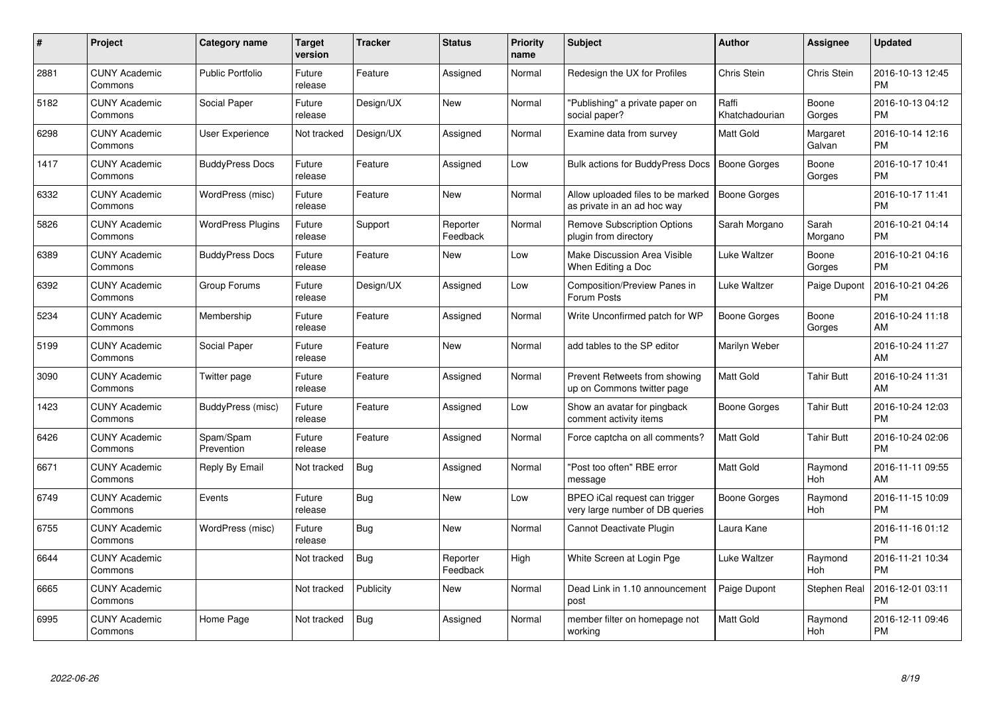| $\pmb{\#}$ | Project                         | <b>Category name</b>     | Target<br>version | <b>Tracker</b> | <b>Status</b>        | <b>Priority</b><br>name | <b>Subject</b>                                                   | Author                  | <b>Assignee</b>       | Updated                       |
|------------|---------------------------------|--------------------------|-------------------|----------------|----------------------|-------------------------|------------------------------------------------------------------|-------------------------|-----------------------|-------------------------------|
| 2881       | <b>CUNY Academic</b><br>Commons | <b>Public Portfolio</b>  | Future<br>release | Feature        | Assigned             | Normal                  | Redesign the UX for Profiles                                     | Chris Stein             | Chris Stein           | 2016-10-13 12:45<br><b>PM</b> |
| 5182       | <b>CUNY Academic</b><br>Commons | Social Paper             | Future<br>release | Design/UX      | <b>New</b>           | Normal                  | "Publishing" a private paper on<br>social paper?                 | Raffi<br>Khatchadourian | Boone<br>Gorges       | 2016-10-13 04:12<br><b>PM</b> |
| 6298       | <b>CUNY Academic</b><br>Commons | User Experience          | Not tracked       | Design/UX      | Assigned             | Normal                  | Examine data from survey                                         | Matt Gold               | Margaret<br>Galvan    | 2016-10-14 12:16<br><b>PM</b> |
| 1417       | <b>CUNY Academic</b><br>Commons | <b>BuddyPress Docs</b>   | Future<br>release | Feature        | Assigned             | Low                     | Bulk actions for BuddyPress Docs                                 | <b>Boone Gorges</b>     | Boone<br>Gorges       | 2016-10-17 10:41<br><b>PM</b> |
| 6332       | <b>CUNY Academic</b><br>Commons | WordPress (misc)         | Future<br>release | Feature        | <b>New</b>           | Normal                  | Allow uploaded files to be marked<br>as private in an ad hoc way | <b>Boone Gorges</b>     |                       | 2016-10-17 11:41<br><b>PM</b> |
| 5826       | <b>CUNY Academic</b><br>Commons | <b>WordPress Plugins</b> | Future<br>release | Support        | Reporter<br>Feedback | Normal                  | <b>Remove Subscription Options</b><br>plugin from directory      | Sarah Morgano           | Sarah<br>Morgano      | 2016-10-21 04:14<br>PМ        |
| 6389       | <b>CUNY Academic</b><br>Commons | <b>BuddyPress Docs</b>   | Future<br>release | Feature        | <b>New</b>           | Low                     | Make Discussion Area Visible<br>When Editing a Doc               | Luke Waltzer            | Boone<br>Gorges       | 2016-10-21 04:16<br>PM        |
| 6392       | <b>CUNY Academic</b><br>Commons | Group Forums             | Future<br>release | Design/UX      | Assigned             | Low                     | Composition/Preview Panes in<br>Forum Posts                      | Luke Waltzer            | Paige Dupont          | 2016-10-21 04:26<br>PM        |
| 5234       | <b>CUNY Academic</b><br>Commons | Membership               | Future<br>release | Feature        | Assigned             | Normal                  | Write Unconfirmed patch for WP                                   | Boone Gorges            | Boone<br>Gorges       | 2016-10-24 11:18<br>AM        |
| 5199       | <b>CUNY Academic</b><br>Commons | Social Paper             | Future<br>release | Feature        | <b>New</b>           | Normal                  | add tables to the SP editor                                      | Marilyn Weber           |                       | 2016-10-24 11:27<br>AM        |
| 3090       | <b>CUNY Academic</b><br>Commons | Twitter page             | Future<br>release | Feature        | Assigned             | Normal                  | Prevent Retweets from showing<br>up on Commons twitter page      | Matt Gold               | <b>Tahir Butt</b>     | 2016-10-24 11:31<br>AM        |
| 1423       | <b>CUNY Academic</b><br>Commons | BuddyPress (misc)        | Future<br>release | Feature        | Assigned             | Low                     | Show an avatar for pingback<br>comment activity items            | Boone Gorges            | <b>Tahir Butt</b>     | 2016-10-24 12:03<br><b>PM</b> |
| 6426       | <b>CUNY Academic</b><br>Commons | Spam/Spam<br>Prevention  | Future<br>release | Feature        | Assigned             | Normal                  | Force captcha on all comments?                                   | Matt Gold               | <b>Tahir Butt</b>     | 2016-10-24 02:06<br><b>PM</b> |
| 6671       | <b>CUNY Academic</b><br>Commons | Reply By Email           | Not tracked       | Bug            | Assigned             | Normal                  | "Post too often" RBE error<br>message                            | Matt Gold               | Raymond<br>Hoh        | 2016-11-11 09:55<br>AM        |
| 6749       | <b>CUNY Academic</b><br>Commons | Events                   | Future<br>release | <b>Bug</b>     | New                  | Low                     | BPEO iCal request can trigger<br>very large number of DB queries | Boone Gorges            | Raymond<br>Hoh        | 2016-11-15 10:09<br>PM        |
| 6755       | <b>CUNY Academic</b><br>Commons | WordPress (misc)         | Future<br>release | <b>Bug</b>     | <b>New</b>           | Normal                  | Cannot Deactivate Plugin                                         | Laura Kane              |                       | 2016-11-16 01:12<br><b>PM</b> |
| 6644       | <b>CUNY Academic</b><br>Commons |                          | Not tracked       | Bug            | Reporter<br>Feedback | High                    | White Screen at Login Pge                                        | Luke Waltzer            | Raymond<br><b>Hoh</b> | 2016-11-21 10:34<br><b>PM</b> |
| 6665       | <b>CUNY Academic</b><br>Commons |                          | Not tracked       | Publicity      | New                  | Normal                  | Dead Link in 1.10 announcement<br>post                           | Paige Dupont            | Stephen Real          | 2016-12-01 03:11<br>PM        |
| 6995       | <b>CUNY Academic</b><br>Commons | Home Page                | Not tracked       | <b>Bug</b>     | Assigned             | Normal                  | member filter on homepage not<br>working                         | Matt Gold               | Raymond<br>Hoh        | 2016-12-11 09:46<br>PM        |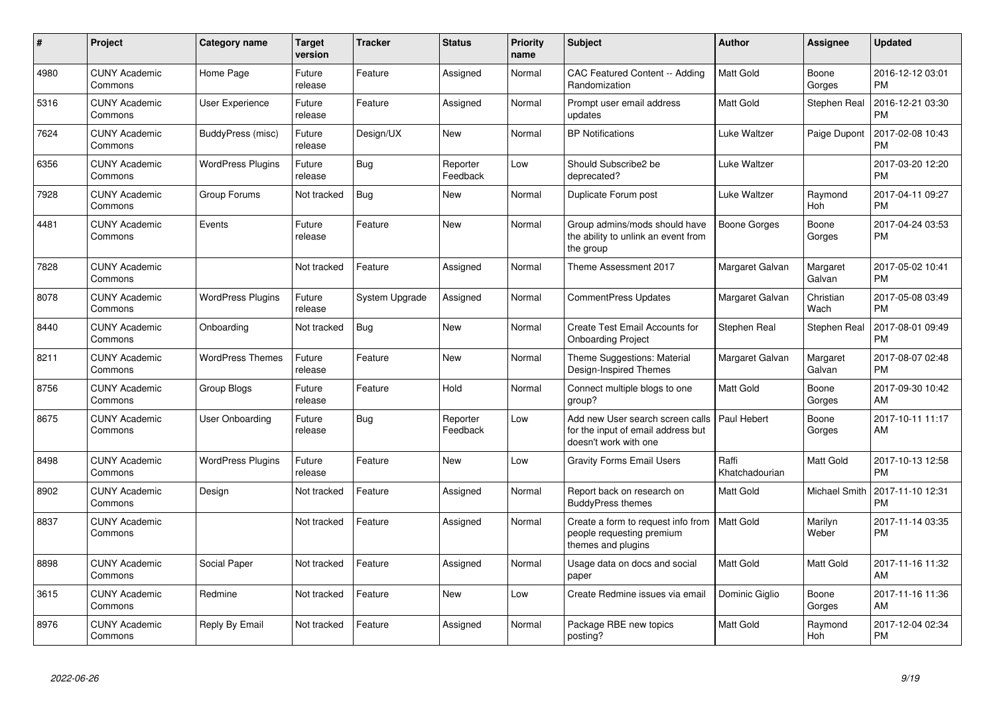| #    | <b>Project</b>                  | <b>Category name</b>     | <b>Target</b><br>version | Tracker        | <b>Status</b>        | Priority<br>name | <b>Subject</b>                                                                                  | <b>Author</b>           | Assignee           | <b>Updated</b>                |
|------|---------------------------------|--------------------------|--------------------------|----------------|----------------------|------------------|-------------------------------------------------------------------------------------------------|-------------------------|--------------------|-------------------------------|
| 4980 | <b>CUNY Academic</b><br>Commons | Home Page                | Future<br>release        | Feature        | Assigned             | Normal           | <b>CAC Featured Content -- Adding</b><br>Randomization                                          | Matt Gold               | Boone<br>Gorges    | 2016-12-12 03:01<br><b>PM</b> |
| 5316 | <b>CUNY Academic</b><br>Commons | <b>User Experience</b>   | Future<br>release        | Feature        | Assigned             | Normal           | Prompt user email address<br>updates                                                            | Matt Gold               | Stephen Real       | 2016-12-21 03:30<br><b>PM</b> |
| 7624 | <b>CUNY Academic</b><br>Commons | BuddyPress (misc)        | Future<br>release        | Design/UX      | <b>New</b>           | Normal           | <b>BP</b> Notifications                                                                         | Luke Waltzer            | Paige Dupont       | 2017-02-08 10:43<br>PM        |
| 6356 | <b>CUNY Academic</b><br>Commons | <b>WordPress Plugins</b> | Future<br>release        | <b>Bug</b>     | Reporter<br>Feedback | Low              | Should Subscribe2 be<br>deprecated?                                                             | Luke Waltzer            |                    | 2017-03-20 12:20<br><b>PM</b> |
| 7928 | <b>CUNY Academic</b><br>Commons | Group Forums             | Not tracked              | <b>Bug</b>     | New                  | Normal           | Duplicate Forum post                                                                            | Luke Waltzer            | Raymond<br>Hoh     | 2017-04-11 09:27<br><b>PM</b> |
| 4481 | <b>CUNY Academic</b><br>Commons | Events                   | Future<br>release        | Feature        | <b>New</b>           | Normal           | Group admins/mods should have<br>the ability to unlink an event from<br>the group               | Boone Gorges            | Boone<br>Gorges    | 2017-04-24 03:53<br><b>PM</b> |
| 7828 | <b>CUNY Academic</b><br>Commons |                          | Not tracked              | Feature        | Assigned             | Normal           | Theme Assessment 2017                                                                           | Margaret Galvan         | Margaret<br>Galvan | 2017-05-02 10:41<br><b>PM</b> |
| 8078 | <b>CUNY Academic</b><br>Commons | <b>WordPress Plugins</b> | Future<br>release        | System Upgrade | Assigned             | Normal           | <b>CommentPress Updates</b>                                                                     | Margaret Galvan         | Christian<br>Wach  | 2017-05-08 03:49<br><b>PM</b> |
| 8440 | <b>CUNY Academic</b><br>Commons | Onboarding               | Not tracked              | <b>Bug</b>     | <b>New</b>           | Normal           | <b>Create Test Email Accounts for</b><br><b>Onboarding Project</b>                              | Stephen Real            | Stephen Real       | 2017-08-01 09:49<br>PM        |
| 8211 | <b>CUNY Academic</b><br>Commons | <b>WordPress Themes</b>  | Future<br>release        | Feature        | <b>New</b>           | Normal           | Theme Suggestions: Material<br>Design-Inspired Themes                                           | Margaret Galvan         | Margaret<br>Galvan | 2017-08-07 02:48<br><b>PM</b> |
| 8756 | <b>CUNY Academic</b><br>Commons | Group Blogs              | Future<br>release        | Feature        | Hold                 | Normal           | Connect multiple blogs to one<br>group?                                                         | Matt Gold               | Boone<br>Gorges    | 2017-09-30 10:42<br>AM        |
| 8675 | <b>CUNY Academic</b><br>Commons | User Onboarding          | Future<br>release        | <b>Bug</b>     | Reporter<br>Feedback | Low              | Add new User search screen calls<br>for the input of email address but<br>doesn't work with one | Paul Hebert             | Boone<br>Gorges    | 2017-10-11 11:17<br>AM        |
| 8498 | <b>CUNY Academic</b><br>Commons | <b>WordPress Plugins</b> | Future<br>release        | Feature        | <b>New</b>           | Low              | <b>Gravity Forms Email Users</b>                                                                | Raffi<br>Khatchadourian | Matt Gold          | 2017-10-13 12:58<br><b>PM</b> |
| 8902 | <b>CUNY Academic</b><br>Commons | Design                   | Not tracked              | Feature        | Assigned             | Normal           | Report back on research on<br><b>BuddyPress themes</b>                                          | Matt Gold               | Michael Smith      | 2017-11-10 12:31<br>PM        |
| 8837 | <b>CUNY Academic</b><br>Commons |                          | Not tracked              | Feature        | Assigned             | Normal           | Create a form to request info from<br>people requesting premium<br>themes and plugins           | <b>Matt Gold</b>        | Marilyn<br>Weber   | 2017-11-14 03:35<br><b>PM</b> |
| 8898 | <b>CUNY Academic</b><br>Commons | Social Paper             | Not tracked              | Feature        | Assigned             | Normal           | Usage data on docs and social<br>paper                                                          | Matt Gold               | <b>Matt Gold</b>   | 2017-11-16 11:32<br>AM        |
| 3615 | <b>CUNY Academic</b><br>Commons | Redmine                  | Not tracked              | Feature        | <b>New</b>           | Low              | Create Redmine issues via email                                                                 | Dominic Giglio          | Boone<br>Gorges    | 2017-11-16 11:36<br>AM        |
| 8976 | <b>CUNY Academic</b><br>Commons | Reply By Email           | Not tracked              | Feature        | Assigned             | Normal           | Package RBE new topics<br>posting?                                                              | Matt Gold               | Raymond<br>Hoh     | 2017-12-04 02:34<br><b>PM</b> |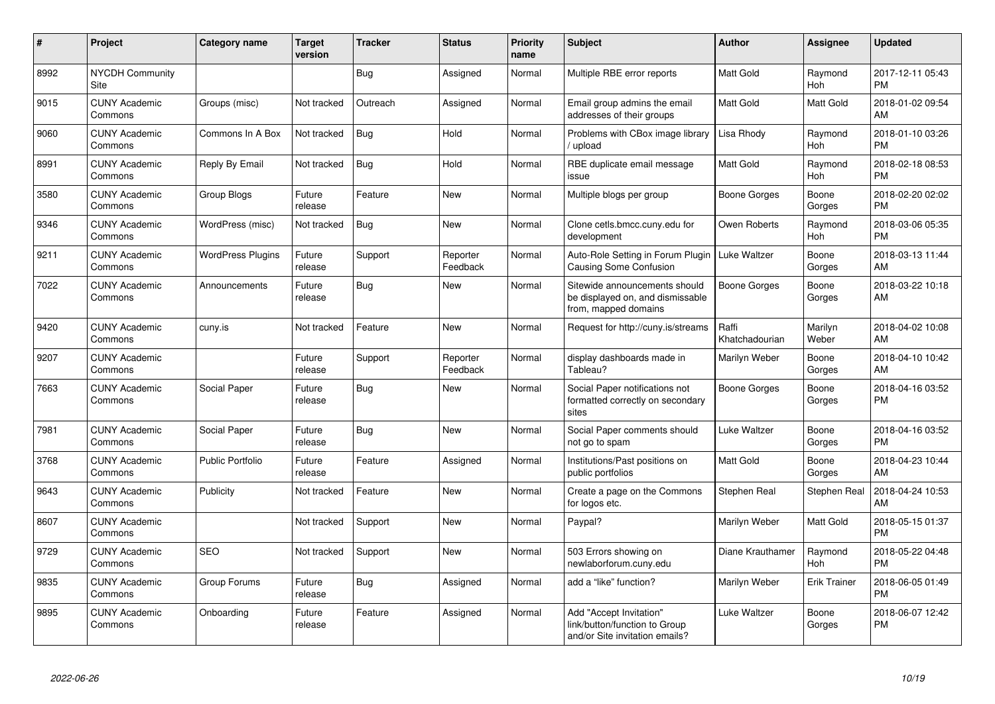| $\pmb{\sharp}$ | Project                         | <b>Category name</b>     | <b>Target</b><br>version | Tracker    | <b>Status</b>        | <b>Priority</b><br>name | <b>Subject</b>                                                                             | <b>Author</b>           | Assignee              | <b>Updated</b>                |
|----------------|---------------------------------|--------------------------|--------------------------|------------|----------------------|-------------------------|--------------------------------------------------------------------------------------------|-------------------------|-----------------------|-------------------------------|
| 8992           | <b>NYCDH Community</b><br>Site  |                          |                          | Bug        | Assigned             | Normal                  | Multiple RBE error reports                                                                 | Matt Gold               | Raymond<br>Hoh        | 2017-12-11 05:43<br><b>PM</b> |
| 9015           | <b>CUNY Academic</b><br>Commons | Groups (misc)            | Not tracked              | Outreach   | Assigned             | Normal                  | Email group admins the email<br>addresses of their groups                                  | Matt Gold               | <b>Matt Gold</b>      | 2018-01-02 09:54<br>AM        |
| 9060           | <b>CUNY Academic</b><br>Commons | Commons In A Box         | Not tracked              | Bug        | Hold                 | Normal                  | Problems with CBox image library<br>/ upload                                               | Lisa Rhody              | Raymond<br>Hoh        | 2018-01-10 03:26<br>PM        |
| 8991           | <b>CUNY Academic</b><br>Commons | Reply By Email           | Not tracked              | <b>Bug</b> | Hold                 | Normal                  | RBE duplicate email message<br>issue                                                       | Matt Gold               | Raymond<br>Hoh        | 2018-02-18 08:53<br><b>PM</b> |
| 3580           | <b>CUNY Academic</b><br>Commons | Group Blogs              | Future<br>release        | Feature    | <b>New</b>           | Normal                  | Multiple blogs per group                                                                   | <b>Boone Gorges</b>     | Boone<br>Gorges       | 2018-02-20 02:02<br>PМ        |
| 9346           | <b>CUNY Academic</b><br>Commons | WordPress (misc)         | Not tracked              | Bug        | <b>New</b>           | Normal                  | Clone cetls.bmcc.cuny.edu for<br>development                                               | Owen Roberts            | Raymond<br><b>Hoh</b> | 2018-03-06 05:35<br><b>PM</b> |
| 9211           | <b>CUNY Academic</b><br>Commons | <b>WordPress Plugins</b> | Future<br>release        | Support    | Reporter<br>Feedback | Normal                  | Auto-Role Setting in Forum Plugin<br><b>Causing Some Confusion</b>                         | Luke Waltzer            | Boone<br>Gorges       | 2018-03-13 11:44<br>AM        |
| 7022           | <b>CUNY Academic</b><br>Commons | Announcements            | Future<br>release        | Bug        | <b>New</b>           | Normal                  | Sitewide announcements should<br>be displayed on, and dismissable<br>from, mapped domains  | Boone Gorges            | Boone<br>Gorges       | 2018-03-22 10:18<br>AM        |
| 9420           | <b>CUNY Academic</b><br>Commons | cuny.is                  | Not tracked              | Feature    | <b>New</b>           | Normal                  | Request for http://cuny.is/streams                                                         | Raffi<br>Khatchadourian | Marilyn<br>Weber      | 2018-04-02 10:08<br>AM        |
| 9207           | <b>CUNY Academic</b><br>Commons |                          | Future<br>release        | Support    | Reporter<br>Feedback | Normal                  | display dashboards made in<br>Tableau?                                                     | Marilyn Weber           | Boone<br>Gorges       | 2018-04-10 10:42<br>AM        |
| 7663           | <b>CUNY Academic</b><br>Commons | Social Paper             | Future<br>release        | Bug        | <b>New</b>           | Normal                  | Social Paper notifications not<br>formatted correctly on secondary<br>sites                | Boone Gorges            | Boone<br>Gorges       | 2018-04-16 03:52<br><b>PM</b> |
| 7981           | <b>CUNY Academic</b><br>Commons | Social Paper             | Future<br>release        | Bug        | <b>New</b>           | Normal                  | Social Paper comments should<br>not go to spam                                             | Luke Waltzer            | Boone<br>Gorges       | 2018-04-16 03:52<br><b>PM</b> |
| 3768           | <b>CUNY Academic</b><br>Commons | <b>Public Portfolio</b>  | Future<br>release        | Feature    | Assigned             | Normal                  | Institutions/Past positions on<br>public portfolios                                        | Matt Gold               | Boone<br>Gorges       | 2018-04-23 10:44<br>AM        |
| 9643           | <b>CUNY Academic</b><br>Commons | Publicity                | Not tracked              | Feature    | <b>New</b>           | Normal                  | Create a page on the Commons<br>for logos etc.                                             | Stephen Real            | Stephen Real          | 2018-04-24 10:53<br>АM        |
| 8607           | <b>CUNY Academic</b><br>Commons |                          | Not tracked              | Support    | <b>New</b>           | Normal                  | Paypal?                                                                                    | Marilyn Weber           | Matt Gold             | 2018-05-15 01:37<br><b>PM</b> |
| 9729           | <b>CUNY Academic</b><br>Commons | <b>SEO</b>               | Not tracked              | Support    | <b>New</b>           | Normal                  | 503 Errors showing on<br>newlaborforum.cuny.edu                                            | Diane Krauthamer        | Raymond<br>Hoh        | 2018-05-22 04:48<br>PM        |
| 9835           | <b>CUNY Academic</b><br>Commons | Group Forums             | Future<br>release        | Bug        | Assigned             | Normal                  | add a "like" function?                                                                     | Marilyn Weber           | <b>Erik Trainer</b>   | 2018-06-05 01:49<br><b>PM</b> |
| 9895           | <b>CUNY Academic</b><br>Commons | Onboarding               | Future<br>release        | Feature    | Assigned             | Normal                  | Add "Accept Invitation"<br>link/button/function to Group<br>and/or Site invitation emails? | Luke Waltzer            | Boone<br>Gorges       | 2018-06-07 12:42<br>РM        |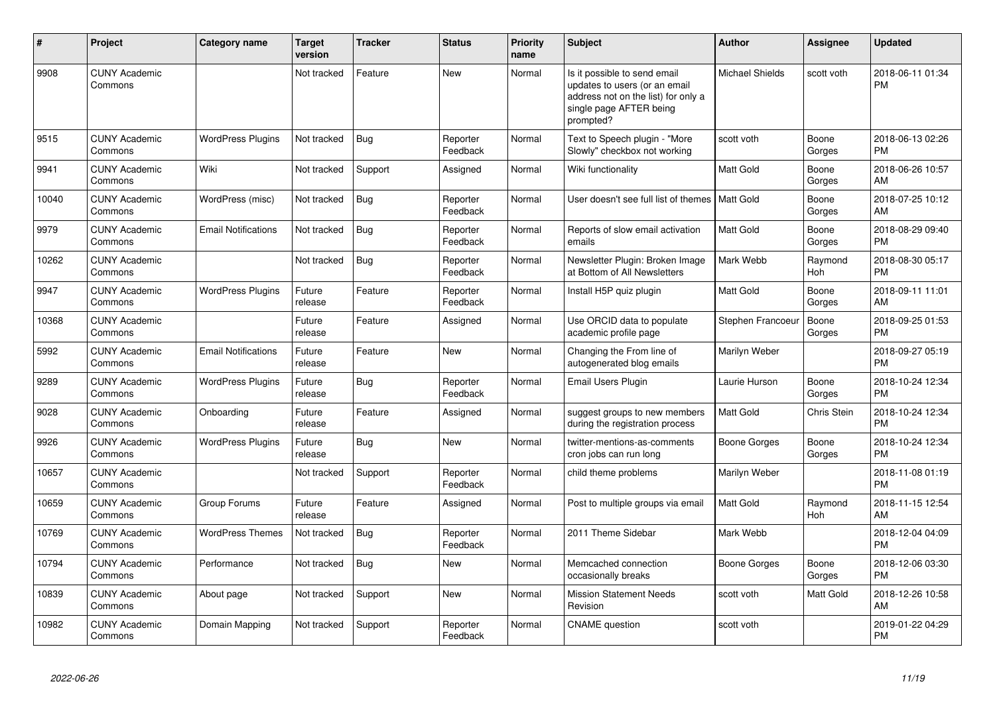| $\#$  | <b>Project</b>                  | <b>Category name</b>       | <b>Target</b><br>version | <b>Tracker</b> | <b>Status</b>        | Priority<br>name | <b>Subject</b>                                                                                                                               | <b>Author</b>     | Assignee              | <b>Updated</b>                |
|-------|---------------------------------|----------------------------|--------------------------|----------------|----------------------|------------------|----------------------------------------------------------------------------------------------------------------------------------------------|-------------------|-----------------------|-------------------------------|
| 9908  | <b>CUNY Academic</b><br>Commons |                            | Not tracked              | Feature        | <b>New</b>           | Normal           | Is it possible to send email<br>updates to users (or an email<br>address not on the list) for only a<br>single page AFTER being<br>prompted? | Michael Shields   | scott voth            | 2018-06-11 01:34<br><b>PM</b> |
| 9515  | <b>CUNY Academic</b><br>Commons | <b>WordPress Plugins</b>   | Not tracked              | Bug            | Reporter<br>Feedback | Normal           | Text to Speech plugin - "More<br>Slowly" checkbox not working                                                                                | scott voth        | Boone<br>Gorges       | 2018-06-13 02:26<br><b>PM</b> |
| 9941  | <b>CUNY Academic</b><br>Commons | Wiki                       | Not tracked              | Support        | Assigned             | Normal           | Wiki functionality                                                                                                                           | Matt Gold         | Boone<br>Gorges       | 2018-06-26 10:57<br>AM        |
| 10040 | <b>CUNY Academic</b><br>Commons | WordPress (misc)           | Not tracked              | Bug            | Reporter<br>Feedback | Normal           | User doesn't see full list of themes                                                                                                         | <b>Matt Gold</b>  | Boone<br>Gorges       | 2018-07-25 10:12<br>AM        |
| 9979  | <b>CUNY Academic</b><br>Commons | <b>Email Notifications</b> | Not tracked              | Bug            | Reporter<br>Feedback | Normal           | Reports of slow email activation<br>emails                                                                                                   | Matt Gold         | Boone<br>Gorges       | 2018-08-29 09:40<br><b>PM</b> |
| 10262 | <b>CUNY Academic</b><br>Commons |                            | Not tracked              | <b>Bug</b>     | Reporter<br>Feedback | Normal           | Newsletter Plugin: Broken Image<br>at Bottom of All Newsletters                                                                              | Mark Webb         | Raymond<br>Hoh        | 2018-08-30 05:17<br><b>PM</b> |
| 9947  | <b>CUNY Academic</b><br>Commons | <b>WordPress Plugins</b>   | Future<br>release        | Feature        | Reporter<br>Feedback | Normal           | Install H5P quiz plugin                                                                                                                      | Matt Gold         | Boone<br>Gorges       | 2018-09-11 11:01<br>AM        |
| 10368 | <b>CUNY Academic</b><br>Commons |                            | Future<br>release        | Feature        | Assigned             | Normal           | Use ORCID data to populate<br>academic profile page                                                                                          | Stephen Francoeur | Boone<br>Gorges       | 2018-09-25 01:53<br><b>PM</b> |
| 5992  | <b>CUNY Academic</b><br>Commons | <b>Email Notifications</b> | Future<br>release        | Feature        | <b>New</b>           | Normal           | Changing the From line of<br>autogenerated blog emails                                                                                       | Marilyn Weber     |                       | 2018-09-27 05:19<br><b>PM</b> |
| 9289  | <b>CUNY Academic</b><br>Commons | <b>WordPress Plugins</b>   | Future<br>release        | Bug            | Reporter<br>Feedback | Normal           | Email Users Plugin                                                                                                                           | Laurie Hurson     | Boone<br>Gorges       | 2018-10-24 12:34<br><b>PM</b> |
| 9028  | <b>CUNY Academic</b><br>Commons | Onboarding                 | Future<br>release        | Feature        | Assigned             | Normal           | suggest groups to new members<br>during the registration process                                                                             | Matt Gold         | Chris Stein           | 2018-10-24 12:34<br><b>PM</b> |
| 9926  | <b>CUNY Academic</b><br>Commons | <b>WordPress Plugins</b>   | Future<br>release        | Bug            | <b>New</b>           | Normal           | twitter-mentions-as-comments<br>cron jobs can run long                                                                                       | Boone Gorges      | Boone<br>Gorges       | 2018-10-24 12:34<br><b>PM</b> |
| 10657 | <b>CUNY Academic</b><br>Commons |                            | Not tracked              | Support        | Reporter<br>Feedback | Normal           | child theme problems                                                                                                                         | Marilyn Weber     |                       | 2018-11-08 01:19<br><b>PM</b> |
| 10659 | <b>CUNY Academic</b><br>Commons | Group Forums               | Future<br>release        | Feature        | Assigned             | Normal           | Post to multiple groups via email                                                                                                            | Matt Gold         | Raymond<br><b>Hoh</b> | 2018-11-15 12:54<br>AM        |
| 10769 | <b>CUNY Academic</b><br>Commons | <b>WordPress Themes</b>    | Not tracked              | Bug            | Reporter<br>Feedback | Normal           | 2011 Theme Sidebar                                                                                                                           | Mark Webb         |                       | 2018-12-04 04:09<br><b>PM</b> |
| 10794 | <b>CUNY Academic</b><br>Commons | Performance                | Not tracked              | <b>Bug</b>     | New                  | Normal           | Memcached connection<br>occasionally breaks                                                                                                  | Boone Gorges      | Boone<br>Gorges       | 2018-12-06 03:30<br><b>PM</b> |
| 10839 | <b>CUNY Academic</b><br>Commons | About page                 | Not tracked              | Support        | <b>New</b>           | Normal           | <b>Mission Statement Needs</b><br>Revision                                                                                                   | scott voth        | Matt Gold             | 2018-12-26 10:58<br>AM        |
| 10982 | <b>CUNY Academic</b><br>Commons | Domain Mapping             | Not tracked              | Support        | Reporter<br>Feedback | Normal           | <b>CNAME</b> question                                                                                                                        | scott voth        |                       | 2019-01-22 04:29<br><b>PM</b> |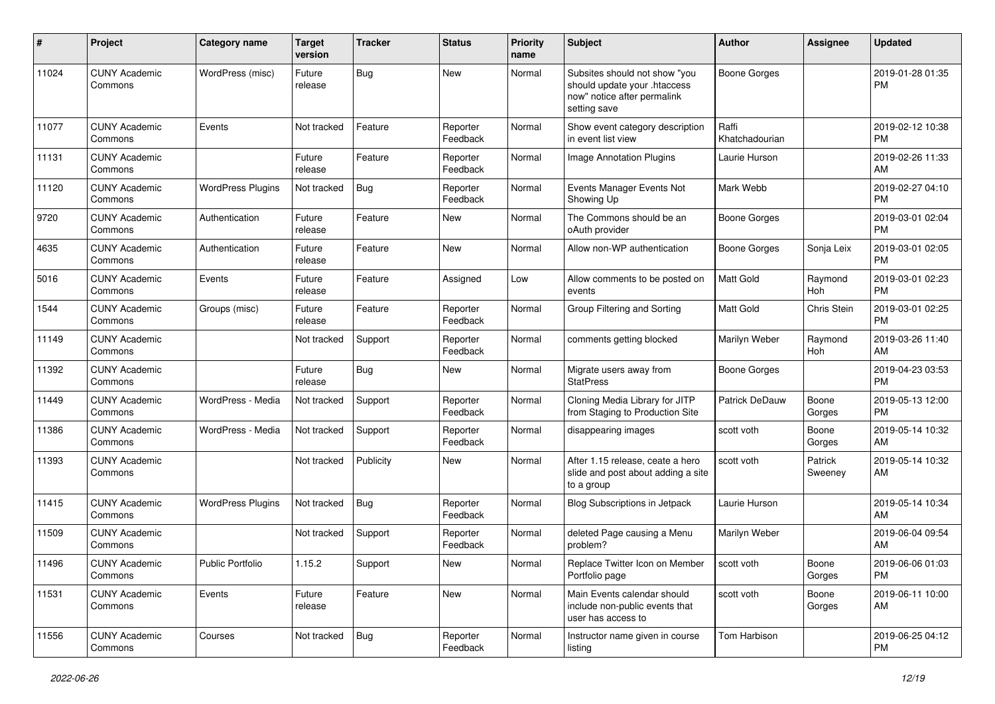| #     | Project                         | <b>Category name</b>     | <b>Target</b><br>version | <b>Tracker</b> | <b>Status</b>        | <b>Priority</b><br>name | <b>Subject</b>                                                                                               | <b>Author</b>           | <b>Assignee</b>    | <b>Updated</b>                |
|-------|---------------------------------|--------------------------|--------------------------|----------------|----------------------|-------------------------|--------------------------------------------------------------------------------------------------------------|-------------------------|--------------------|-------------------------------|
| 11024 | <b>CUNY Academic</b><br>Commons | WordPress (misc)         | Future<br>release        | Bug            | <b>New</b>           | Normal                  | Subsites should not show "you<br>should update your .htaccess<br>now" notice after permalink<br>setting save | <b>Boone Gorges</b>     |                    | 2019-01-28 01:35<br><b>PM</b> |
| 11077 | <b>CUNY Academic</b><br>Commons | Events                   | Not tracked              | Feature        | Reporter<br>Feedback | Normal                  | Show event category description<br>in event list view                                                        | Raffi<br>Khatchadourian |                    | 2019-02-12 10:38<br><b>PM</b> |
| 11131 | <b>CUNY Academic</b><br>Commons |                          | Future<br>release        | Feature        | Reporter<br>Feedback | Normal                  | Image Annotation Plugins                                                                                     | Laurie Hurson           |                    | 2019-02-26 11:33<br>AM        |
| 11120 | <b>CUNY Academic</b><br>Commons | <b>WordPress Plugins</b> | Not tracked              | <b>Bug</b>     | Reporter<br>Feedback | Normal                  | Events Manager Events Not<br>Showing Up                                                                      | Mark Webb               |                    | 2019-02-27 04:10<br><b>PM</b> |
| 9720  | <b>CUNY Academic</b><br>Commons | Authentication           | Future<br>release        | Feature        | New                  | Normal                  | The Commons should be an<br>oAuth provider                                                                   | <b>Boone Gorges</b>     |                    | 2019-03-01 02:04<br><b>PM</b> |
| 4635  | <b>CUNY Academic</b><br>Commons | Authentication           | Future<br>release        | Feature        | <b>New</b>           | Normal                  | Allow non-WP authentication                                                                                  | Boone Gorges            | Sonja Leix         | 2019-03-01 02:05<br><b>PM</b> |
| 5016  | <b>CUNY Academic</b><br>Commons | Events                   | Future<br>release        | Feature        | Assigned             | Low                     | Allow comments to be posted on<br>events                                                                     | <b>Matt Gold</b>        | Raymond<br>Hoh     | 2019-03-01 02:23<br><b>PM</b> |
| 1544  | <b>CUNY Academic</b><br>Commons | Groups (misc)            | Future<br>release        | Feature        | Reporter<br>Feedback | Normal                  | Group Filtering and Sorting                                                                                  | Matt Gold               | Chris Stein        | 2019-03-01 02:25<br><b>PM</b> |
| 11149 | <b>CUNY Academic</b><br>Commons |                          | Not tracked              | Support        | Reporter<br>Feedback | Normal                  | comments getting blocked                                                                                     | Marilyn Weber           | Raymond<br>Hoh     | 2019-03-26 11:40<br>AM        |
| 11392 | <b>CUNY Academic</b><br>Commons |                          | Future<br>release        | <b>Bug</b>     | New                  | Normal                  | Migrate users away from<br><b>StatPress</b>                                                                  | <b>Boone Gorges</b>     |                    | 2019-04-23 03:53<br><b>PM</b> |
| 11449 | <b>CUNY Academic</b><br>Commons | WordPress - Media        | Not tracked              | Support        | Reporter<br>Feedback | Normal                  | Cloning Media Library for JITP<br>from Staging to Production Site                                            | <b>Patrick DeDauw</b>   | Boone<br>Gorges    | 2019-05-13 12:00<br><b>PM</b> |
| 11386 | <b>CUNY Academic</b><br>Commons | WordPress - Media        | Not tracked              | Support        | Reporter<br>Feedback | Normal                  | disappearing images                                                                                          | scott voth              | Boone<br>Gorges    | 2019-05-14 10:32<br>AM        |
| 11393 | <b>CUNY Academic</b><br>Commons |                          | Not tracked              | Publicity      | New                  | Normal                  | After 1.15 release, ceate a hero<br>slide and post about adding a site<br>to a group                         | scott voth              | Patrick<br>Sweeney | 2019-05-14 10:32<br>AM        |
| 11415 | <b>CUNY Academic</b><br>Commons | <b>WordPress Plugins</b> | Not tracked              | Bug            | Reporter<br>Feedback | Normal                  | <b>Blog Subscriptions in Jetpack</b>                                                                         | Laurie Hurson           |                    | 2019-05-14 10:34<br>AM        |
| 11509 | <b>CUNY Academic</b><br>Commons |                          | Not tracked              | Support        | Reporter<br>Feedback | Normal                  | deleted Page causing a Menu<br>problem?                                                                      | Marilyn Weber           |                    | 2019-06-04 09:54<br>AM        |
| 11496 | <b>CUNY Academic</b><br>Commons | Public Portfolio         | 1.15.2                   | Support        | New                  | Normal                  | Replace Twitter Icon on Member<br>Portfolio page                                                             | scott voth              | Boone<br>Gorges    | 2019-06-06 01:03<br><b>PM</b> |
| 11531 | <b>CUNY Academic</b><br>Commons | Events                   | Future<br>release        | Feature        | New                  | Normal                  | Main Events calendar should<br>include non-public events that<br>user has access to                          | scott voth              | Boone<br>Gorges    | 2019-06-11 10:00<br>AM        |
| 11556 | <b>CUNY Academic</b><br>Commons | Courses                  | Not tracked              | Bug            | Reporter<br>Feedback | Normal                  | Instructor name given in course<br>listing                                                                   | Tom Harbison            |                    | 2019-06-25 04:12<br>PM        |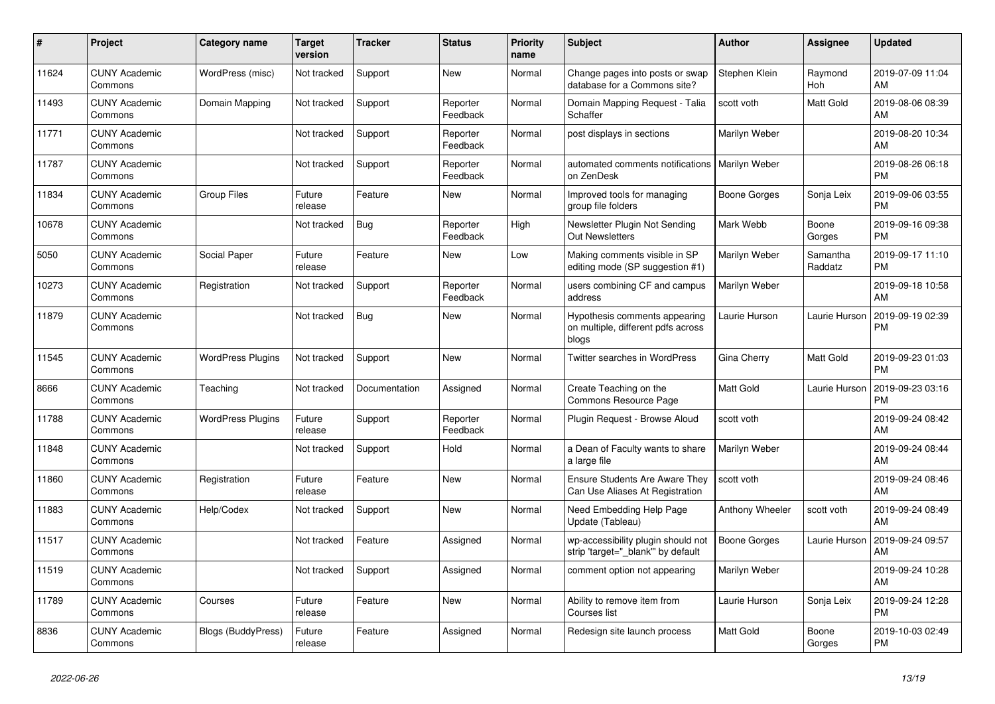| #     | <b>Project</b>                  | <b>Category name</b>     | <b>Target</b><br>version | Tracker       | <b>Status</b>        | <b>Priority</b><br>name | <b>Subject</b>                                                               | <b>Author</b>       | Assignee              | <b>Updated</b>                |
|-------|---------------------------------|--------------------------|--------------------------|---------------|----------------------|-------------------------|------------------------------------------------------------------------------|---------------------|-----------------------|-------------------------------|
| 11624 | <b>CUNY Academic</b><br>Commons | WordPress (misc)         | Not tracked              | Support       | <b>New</b>           | Normal                  | Change pages into posts or swap<br>database for a Commons site?              | Stephen Klein       | Raymond<br><b>Hoh</b> | 2019-07-09 11:04<br>AM        |
| 11493 | <b>CUNY Academic</b><br>Commons | Domain Mapping           | Not tracked              | Support       | Reporter<br>Feedback | Normal                  | Domain Mapping Request - Talia<br>Schaffer                                   | scott voth          | Matt Gold             | 2019-08-06 08:39<br>AM        |
| 11771 | <b>CUNY Academic</b><br>Commons |                          | Not tracked              | Support       | Reporter<br>Feedback | Normal                  | post displays in sections                                                    | Marilyn Weber       |                       | 2019-08-20 10:34<br>AM        |
| 11787 | <b>CUNY Academic</b><br>Commons |                          | Not tracked              | Support       | Reporter<br>Feedback | Normal                  | automated comments notifications   Marilyn Weber<br>on ZenDesk               |                     |                       | 2019-08-26 06:18<br><b>PM</b> |
| 11834 | <b>CUNY Academic</b><br>Commons | <b>Group Files</b>       | Future<br>release        | Feature       | <b>New</b>           | Normal                  | Improved tools for managing<br>group file folders                            | Boone Gorges        | Sonja Leix            | 2019-09-06 03:55<br><b>PM</b> |
| 10678 | <b>CUNY Academic</b><br>Commons |                          | Not tracked              | <b>Bug</b>    | Reporter<br>Feedback | High                    | Newsletter Plugin Not Sending<br><b>Out Newsletters</b>                      | Mark Webb           | Boone<br>Gorges       | 2019-09-16 09:38<br><b>PM</b> |
| 5050  | <b>CUNY Academic</b><br>Commons | Social Paper             | Future<br>release        | Feature       | <b>New</b>           | Low                     | Making comments visible in SP<br>editing mode (SP suggestion #1)             | Marilyn Weber       | Samantha<br>Raddatz   | 2019-09-17 11:10<br><b>PM</b> |
| 10273 | <b>CUNY Academic</b><br>Commons | Registration             | Not tracked              | Support       | Reporter<br>Feedback | Normal                  | users combining CF and campus<br>address                                     | Marilyn Weber       |                       | 2019-09-18 10:58<br>AM        |
| 11879 | <b>CUNY Academic</b><br>Commons |                          | Not tracked              | <b>Bug</b>    | <b>New</b>           | Normal                  | Hypothesis comments appearing<br>on multiple, different pdfs across<br>blogs | Laurie Hurson       | Laurie Hurson         | 2019-09-19 02:39<br><b>PM</b> |
| 11545 | <b>CUNY Academic</b><br>Commons | <b>WordPress Plugins</b> | Not tracked              | Support       | New                  | Normal                  | <b>Twitter searches in WordPress</b>                                         | Gina Cherry         | Matt Gold             | 2019-09-23 01:03<br><b>PM</b> |
| 8666  | <b>CUNY Academic</b><br>Commons | Teaching                 | Not tracked              | Documentation | Assigned             | Normal                  | Create Teaching on the<br>Commons Resource Page                              | Matt Gold           | Laurie Hurson         | 2019-09-23 03:16<br><b>PM</b> |
| 11788 | <b>CUNY Academic</b><br>Commons | <b>WordPress Plugins</b> | Future<br>release        | Support       | Reporter<br>Feedback | Normal                  | Plugin Reguest - Browse Aloud                                                | scott voth          |                       | 2019-09-24 08:42<br>AM        |
| 11848 | <b>CUNY Academic</b><br>Commons |                          | Not tracked              | Support       | Hold                 | Normal                  | a Dean of Faculty wants to share<br>a large file                             | Marilyn Weber       |                       | 2019-09-24 08:44<br>AM        |
| 11860 | <b>CUNY Academic</b><br>Commons | Registration             | Future<br>release        | Feature       | New                  | Normal                  | Ensure Students Are Aware They<br>Can Use Aliases At Registration            | scott voth          |                       | 2019-09-24 08:46<br>AM        |
| 11883 | <b>CUNY Academic</b><br>Commons | Help/Codex               | Not tracked              | Support       | <b>New</b>           | Normal                  | Need Embedding Help Page<br>Update (Tableau)                                 | Anthony Wheeler     | scott voth            | 2019-09-24 08:49<br>AM        |
| 11517 | <b>CUNY Academic</b><br>Commons |                          | Not tracked              | Feature       | Assigned             | Normal                  | wp-accessibility plugin should not<br>strip 'target="_blank" by default      | <b>Boone Gorges</b> | Laurie Hurson         | 2019-09-24 09:57<br>AM        |
| 11519 | <b>CUNY Academic</b><br>Commons |                          | Not tracked              | Support       | Assigned             | Normal                  | comment option not appearing                                                 | Marilyn Weber       |                       | 2019-09-24 10:28<br>AM        |
| 11789 | <b>CUNY Academic</b><br>Commons | Courses                  | Future<br>release        | Feature       | <b>New</b>           | Normal                  | Ability to remove item from<br>Courses list                                  | Laurie Hurson       | Sonja Leix            | 2019-09-24 12:28<br><b>PM</b> |
| 8836  | <b>CUNY Academic</b><br>Commons | Blogs (BuddyPress)       | Future<br>release        | Feature       | Assigned             | Normal                  | Redesign site launch process                                                 | <b>Matt Gold</b>    | Boone<br>Gorges       | 2019-10-03 02:49<br><b>PM</b> |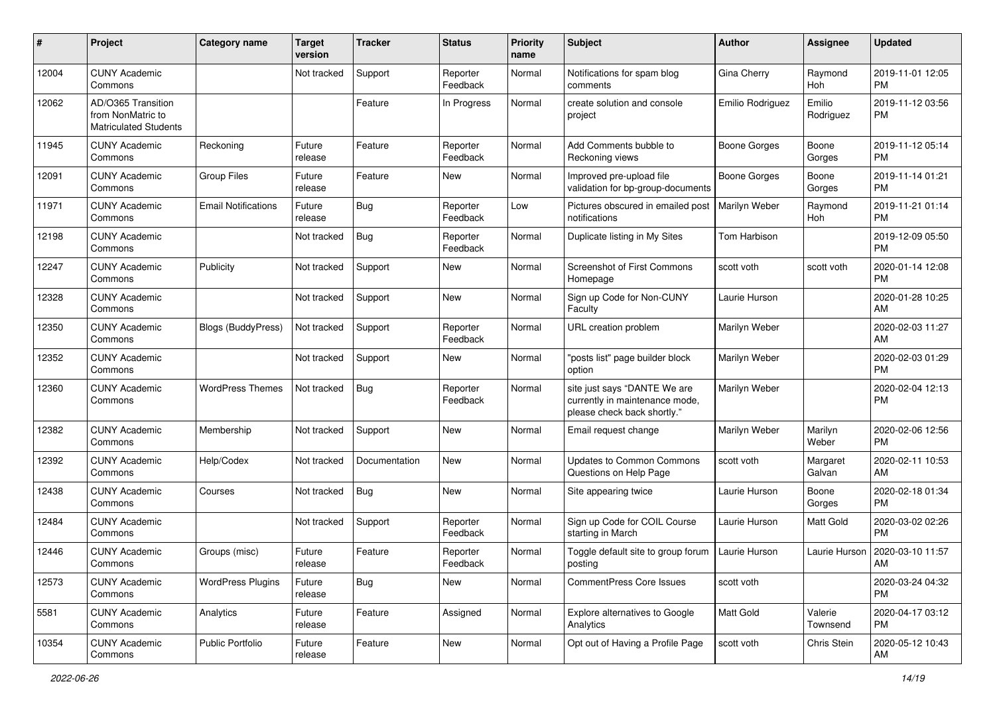| #     | Project                                                                 | <b>Category name</b>       | <b>Target</b><br>version | <b>Tracker</b> | <b>Status</b>        | <b>Priority</b><br>name | <b>Subject</b>                                                                                | <b>Author</b>       | <b>Assignee</b>     | <b>Updated</b>                |
|-------|-------------------------------------------------------------------------|----------------------------|--------------------------|----------------|----------------------|-------------------------|-----------------------------------------------------------------------------------------------|---------------------|---------------------|-------------------------------|
| 12004 | <b>CUNY Academic</b><br>Commons                                         |                            | Not tracked              | Support        | Reporter<br>Feedback | Normal                  | Notifications for spam blog<br>comments                                                       | Gina Cherry         | Raymond<br>Hoh      | 2019-11-01 12:05<br><b>PM</b> |
| 12062 | AD/O365 Transition<br>from NonMatric to<br><b>Matriculated Students</b> |                            |                          | Feature        | In Progress          | Normal                  | create solution and console<br>project                                                        | Emilio Rodriguez    | Emilio<br>Rodriguez | 2019-11-12 03:56<br><b>PM</b> |
| 11945 | <b>CUNY Academic</b><br>Commons                                         | Reckoning                  | Future<br>release        | Feature        | Reporter<br>Feedback | Normal                  | Add Comments bubble to<br>Reckoning views                                                     | <b>Boone Gorges</b> | Boone<br>Gorges     | 2019-11-12 05:14<br><b>PM</b> |
| 12091 | <b>CUNY Academic</b><br>Commons                                         | <b>Group Files</b>         | Future<br>release        | Feature        | New                  | Normal                  | Improved pre-upload file<br>validation for bp-group-documents                                 | <b>Boone Gorges</b> | Boone<br>Gorges     | 2019-11-14 01:21<br><b>PM</b> |
| 11971 | <b>CUNY Academic</b><br>Commons                                         | <b>Email Notifications</b> | Future<br>release        | Bug            | Reporter<br>Feedback | Low                     | Pictures obscured in emailed post<br>notifications                                            | Marilyn Weber       | Raymond<br>Hoh      | 2019-11-21 01:14<br><b>PM</b> |
| 12198 | <b>CUNY Academic</b><br>Commons                                         |                            | Not tracked              | Bug            | Reporter<br>Feedback | Normal                  | Duplicate listing in My Sites                                                                 | Tom Harbison        |                     | 2019-12-09 05:50<br><b>PM</b> |
| 12247 | <b>CUNY Academic</b><br>Commons                                         | Publicity                  | Not tracked              | Support        | New                  | Normal                  | <b>Screenshot of First Commons</b><br>Homepage                                                | scott voth          | scott voth          | 2020-01-14 12:08<br><b>PM</b> |
| 12328 | <b>CUNY Academic</b><br>Commons                                         |                            | Not tracked              | Support        | New                  | Normal                  | Sign up Code for Non-CUNY<br>Faculty                                                          | Laurie Hurson       |                     | 2020-01-28 10:25<br>AM        |
| 12350 | <b>CUNY Academic</b><br>Commons                                         | <b>Blogs (BuddyPress)</b>  | Not tracked              | Support        | Reporter<br>Feedback | Normal                  | URL creation problem                                                                          | Marilyn Weber       |                     | 2020-02-03 11:27<br>AM        |
| 12352 | <b>CUNY Academic</b><br>Commons                                         |                            | Not tracked              | Support        | New                  | Normal                  | "posts list" page builder block<br>option                                                     | Marilyn Weber       |                     | 2020-02-03 01:29<br><b>PM</b> |
| 12360 | <b>CUNY Academic</b><br>Commons                                         | <b>WordPress Themes</b>    | Not tracked              | Bug            | Reporter<br>Feedback | Normal                  | site just says "DANTE We are<br>currently in maintenance mode,<br>please check back shortly." | Marilyn Weber       |                     | 2020-02-04 12:13<br>PM        |
| 12382 | <b>CUNY Academic</b><br>Commons                                         | Membership                 | Not tracked              | Support        | <b>New</b>           | Normal                  | Email request change                                                                          | Marilyn Weber       | Marilyn<br>Weber    | 2020-02-06 12:56<br><b>PM</b> |
| 12392 | <b>CUNY Academic</b><br>Commons                                         | Help/Codex                 | Not tracked              | Documentation  | New                  | Normal                  | <b>Updates to Common Commons</b><br>Questions on Help Page                                    | scott voth          | Margaret<br>Galvan  | 2020-02-11 10:53<br>AM        |
| 12438 | <b>CUNY Academic</b><br>Commons                                         | Courses                    | Not tracked              | <b>Bug</b>     | New                  | Normal                  | Site appearing twice                                                                          | Laurie Hurson       | Boone<br>Gorges     | 2020-02-18 01:34<br><b>PM</b> |
| 12484 | <b>CUNY Academic</b><br>Commons                                         |                            | Not tracked              | Support        | Reporter<br>Feedback | Normal                  | Sign up Code for COIL Course<br>starting in March                                             | Laurie Hurson       | Matt Gold           | 2020-03-02 02:26<br><b>PM</b> |
| 12446 | <b>CUNY Academic</b><br>Commons                                         | Groups (misc)              | Future<br>release        | Feature        | Reporter<br>Feedback | Normal                  | Toggle default site to group forum  <br>posting                                               | Laurie Hurson       | Laurie Hurson       | 2020-03-10 11:57<br>AM        |
| 12573 | <b>CUNY Academic</b><br>Commons                                         | <b>WordPress Plugins</b>   | Future<br>release        | <b>Bug</b>     | New                  | Normal                  | CommentPress Core Issues                                                                      | scott voth          |                     | 2020-03-24 04:32<br><b>PM</b> |
| 5581  | <b>CUNY Academic</b><br>Commons                                         | Analytics                  | Future<br>release        | Feature        | Assigned             | Normal                  | Explore alternatives to Google<br>Analytics                                                   | Matt Gold           | Valerie<br>Townsend | 2020-04-17 03:12<br><b>PM</b> |
| 10354 | <b>CUNY Academic</b><br>Commons                                         | Public Portfolio           | Future<br>release        | Feature        | New                  | Normal                  | Opt out of Having a Profile Page                                                              | scott voth          | Chris Stein         | 2020-05-12 10:43<br>AM        |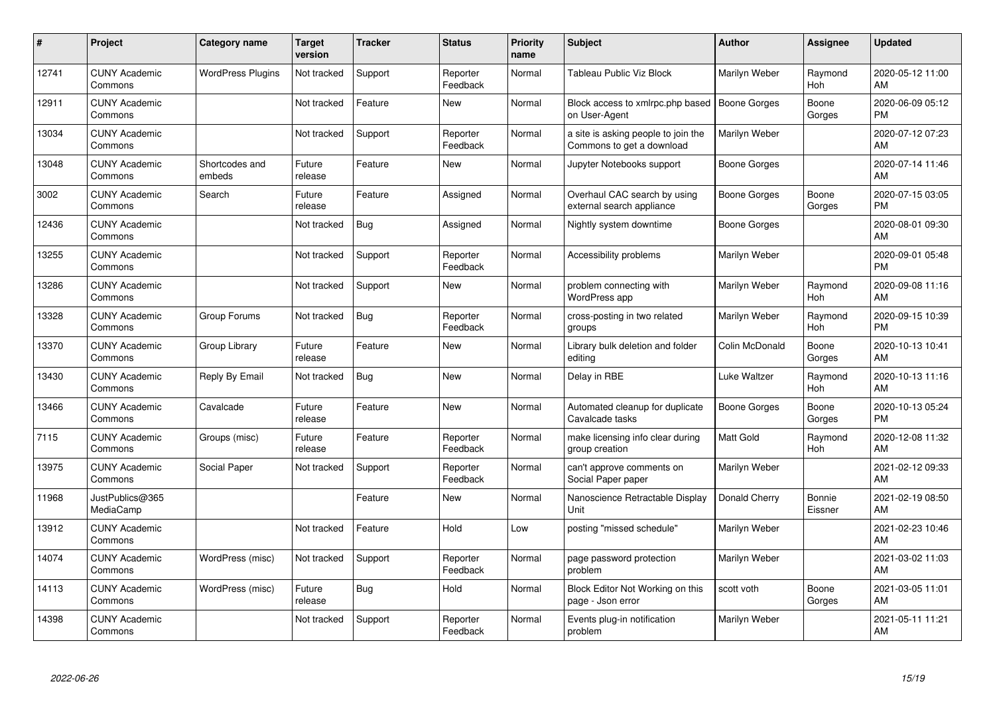| #     | Project                         | <b>Category name</b>     | Target<br>version | <b>Tracker</b> | <b>Status</b>        | <b>Priority</b><br>name | <b>Subject</b>                                                   | <b>Author</b>       | <b>Assignee</b>   | <b>Updated</b>                |
|-------|---------------------------------|--------------------------|-------------------|----------------|----------------------|-------------------------|------------------------------------------------------------------|---------------------|-------------------|-------------------------------|
| 12741 | <b>CUNY Academic</b><br>Commons | <b>WordPress Plugins</b> | Not tracked       | Support        | Reporter<br>Feedback | Normal                  | Tableau Public Viz Block                                         | Marilyn Weber       | Raymond<br>Hoh    | 2020-05-12 11:00<br>AM        |
| 12911 | <b>CUNY Academic</b><br>Commons |                          | Not tracked       | Feature        | New                  | Normal                  | Block access to xmlrpc.php based<br>on User-Agent                | <b>Boone Gorges</b> | Boone<br>Gorges   | 2020-06-09 05:12<br><b>PM</b> |
| 13034 | <b>CUNY Academic</b><br>Commons |                          | Not tracked       | Support        | Reporter<br>Feedback | Normal                  | a site is asking people to join the<br>Commons to get a download | Marilyn Weber       |                   | 2020-07-12 07:23<br>AM        |
| 13048 | <b>CUNY Academic</b><br>Commons | Shortcodes and<br>embeds | Future<br>release | Feature        | <b>New</b>           | Normal                  | Jupyter Notebooks support                                        | Boone Gorges        |                   | 2020-07-14 11:46<br>AM        |
| 3002  | <b>CUNY Academic</b><br>Commons | Search                   | Future<br>release | Feature        | Assigned             | Normal                  | Overhaul CAC search by using<br>external search appliance        | Boone Gorges        | Boone<br>Gorges   | 2020-07-15 03:05<br><b>PM</b> |
| 12436 | <b>CUNY Academic</b><br>Commons |                          | Not tracked       | <b>Bug</b>     | Assigned             | Normal                  | Nightly system downtime                                          | Boone Gorges        |                   | 2020-08-01 09:30<br>AM        |
| 13255 | <b>CUNY Academic</b><br>Commons |                          | Not tracked       | Support        | Reporter<br>Feedback | Normal                  | Accessibility problems                                           | Marilyn Weber       |                   | 2020-09-01 05:48<br><b>PM</b> |
| 13286 | <b>CUNY Academic</b><br>Commons |                          | Not tracked       | Support        | <b>New</b>           | Normal                  | problem connecting with<br>WordPress app                         | Marilyn Weber       | Raymond<br>Hoh    | 2020-09-08 11:16<br>AM        |
| 13328 | <b>CUNY Academic</b><br>Commons | Group Forums             | Not tracked       | <b>Bug</b>     | Reporter<br>Feedback | Normal                  | cross-posting in two related<br>groups                           | Marilyn Weber       | Raymond<br>Hoh    | 2020-09-15 10:39<br><b>PM</b> |
| 13370 | <b>CUNY Academic</b><br>Commons | Group Library            | Future<br>release | Feature        | <b>New</b>           | Normal                  | Library bulk deletion and folder<br>editing                      | Colin McDonald      | Boone<br>Gorges   | 2020-10-13 10:41<br>AM        |
| 13430 | <b>CUNY Academic</b><br>Commons | Reply By Email           | Not tracked       | Bug            | <b>New</b>           | Normal                  | Delay in RBE                                                     | Luke Waltzer        | Raymond<br>Hoh    | 2020-10-13 11:16<br>AM        |
| 13466 | <b>CUNY Academic</b><br>Commons | Cavalcade                | Future<br>release | Feature        | <b>New</b>           | Normal                  | Automated cleanup for duplicate<br>Cavalcade tasks               | <b>Boone Gorges</b> | Boone<br>Gorges   | 2020-10-13 05:24<br><b>PM</b> |
| 7115  | <b>CUNY Academic</b><br>Commons | Groups (misc)            | Future<br>release | Feature        | Reporter<br>Feedback | Normal                  | make licensing info clear during<br>group creation               | Matt Gold           | Raymond<br>Hoh    | 2020-12-08 11:32<br>AM        |
| 13975 | <b>CUNY Academic</b><br>Commons | Social Paper             | Not tracked       | Support        | Reporter<br>Feedback | Normal                  | can't approve comments on<br>Social Paper paper                  | Marilyn Weber       |                   | 2021-02-12 09:33<br>AM        |
| 11968 | JustPublics@365<br>MediaCamp    |                          |                   | Feature        | <b>New</b>           | Normal                  | Nanoscience Retractable Display<br>Unit                          | Donald Cherry       | Bonnie<br>Eissner | 2021-02-19 08:50<br>AM        |
| 13912 | <b>CUNY Academic</b><br>Commons |                          | Not tracked       | Feature        | Hold                 | Low                     | posting "missed schedule"                                        | Marilyn Weber       |                   | 2021-02-23 10:46<br>AM        |
| 14074 | <b>CUNY Academic</b><br>Commons | WordPress (misc)         | Not tracked       | Support        | Reporter<br>Feedback | Normal                  | page password protection<br>problem                              | Marilyn Weber       |                   | 2021-03-02 11:03<br>AM        |
| 14113 | <b>CUNY Academic</b><br>Commons | WordPress (misc)         | Future<br>release | Bug            | Hold                 | Normal                  | Block Editor Not Working on this<br>page - Json error            | scott voth          | Boone<br>Gorges   | 2021-03-05 11:01<br>AM        |
| 14398 | <b>CUNY Academic</b><br>Commons |                          | Not tracked       | Support        | Reporter<br>Feedback | Normal                  | Events plug-in notification<br>problem                           | Marilyn Weber       |                   | 2021-05-11 11:21<br>AM        |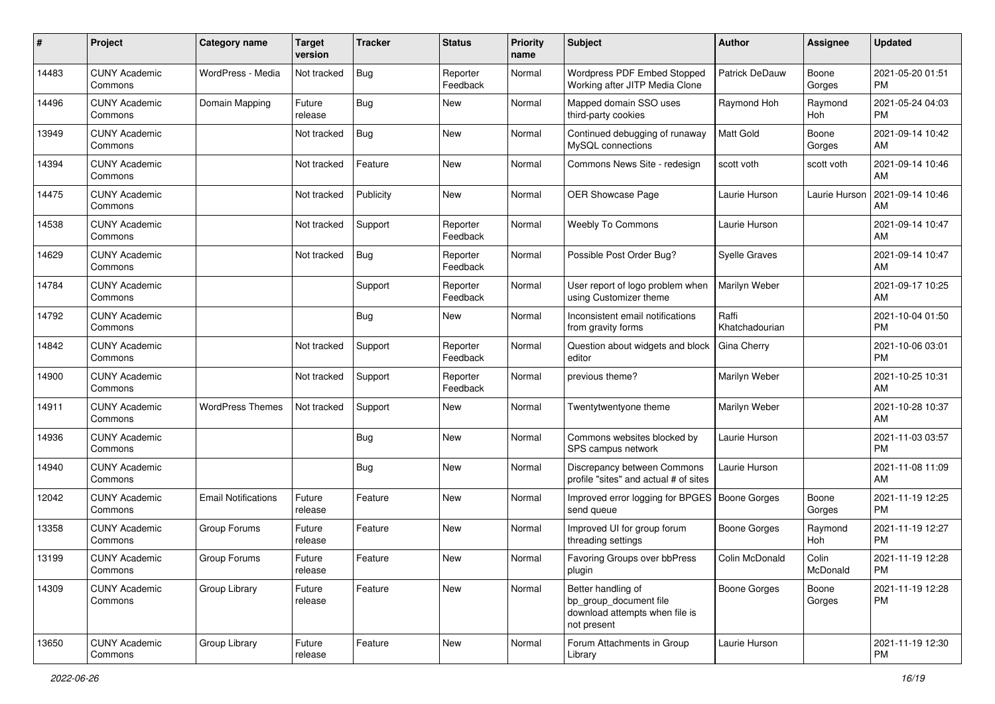| #     | Project                         | <b>Category name</b>       | <b>Target</b><br>version | <b>Tracker</b> | <b>Status</b>        | <b>Priority</b><br>name | <b>Subject</b>                                                                                | Author                  | <b>Assignee</b>   | <b>Updated</b>                |
|-------|---------------------------------|----------------------------|--------------------------|----------------|----------------------|-------------------------|-----------------------------------------------------------------------------------------------|-------------------------|-------------------|-------------------------------|
| 14483 | <b>CUNY Academic</b><br>Commons | WordPress - Media          | Not tracked              | Bug            | Reporter<br>Feedback | Normal                  | Wordpress PDF Embed Stopped<br>Working after JITP Media Clone                                 | <b>Patrick DeDauw</b>   | Boone<br>Gorges   | 2021-05-20 01:51<br><b>PM</b> |
| 14496 | <b>CUNY Academic</b><br>Commons | Domain Mapping             | Future<br>release        | Bug            | New                  | Normal                  | Mapped domain SSO uses<br>third-party cookies                                                 | Raymond Hoh             | Raymond<br>Hoh    | 2021-05-24 04:03<br><b>PM</b> |
| 13949 | <b>CUNY Academic</b><br>Commons |                            | Not tracked              | Bug            | New                  | Normal                  | Continued debugging of runaway<br>MySQL connections                                           | <b>Matt Gold</b>        | Boone<br>Gorges   | 2021-09-14 10:42<br>AM        |
| 14394 | <b>CUNY Academic</b><br>Commons |                            | Not tracked              | Feature        | <b>New</b>           | Normal                  | Commons News Site - redesign                                                                  | scott voth              | scott voth        | 2021-09-14 10:46<br>AM        |
| 14475 | <b>CUNY Academic</b><br>Commons |                            | Not tracked              | Publicity      | <b>New</b>           | Normal                  | OER Showcase Page                                                                             | Laurie Hurson           | Laurie Hurson     | 2021-09-14 10:46<br>AM        |
| 14538 | <b>CUNY Academic</b><br>Commons |                            | Not tracked              | Support        | Reporter<br>Feedback | Normal                  | Weebly To Commons                                                                             | Laurie Hurson           |                   | 2021-09-14 10:47<br>AM        |
| 14629 | <b>CUNY Academic</b><br>Commons |                            | Not tracked              | Bug            | Reporter<br>Feedback | Normal                  | Possible Post Order Bug?                                                                      | <b>Syelle Graves</b>    |                   | 2021-09-14 10:47<br>AM        |
| 14784 | <b>CUNY Academic</b><br>Commons |                            |                          | Support        | Reporter<br>Feedback | Normal                  | User report of logo problem when<br>using Customizer theme                                    | Marilyn Weber           |                   | 2021-09-17 10:25<br>AM        |
| 14792 | <b>CUNY Academic</b><br>Commons |                            |                          | Bug            | New                  | Normal                  | Inconsistent email notifications<br>from gravity forms                                        | Raffi<br>Khatchadourian |                   | 2021-10-04 01:50<br><b>PM</b> |
| 14842 | <b>CUNY Academic</b><br>Commons |                            | Not tracked              | Support        | Reporter<br>Feedback | Normal                  | Question about widgets and block<br>editor                                                    | Gina Cherry             |                   | 2021-10-06 03:01<br><b>PM</b> |
| 14900 | <b>CUNY Academic</b><br>Commons |                            | Not tracked              | Support        | Reporter<br>Feedback | Normal                  | previous theme?                                                                               | Marilyn Weber           |                   | 2021-10-25 10:31<br>AM        |
| 14911 | <b>CUNY Academic</b><br>Commons | <b>WordPress Themes</b>    | Not tracked              | Support        | New                  | Normal                  | Twentytwentyone theme                                                                         | Marilyn Weber           |                   | 2021-10-28 10:37<br>AM        |
| 14936 | <b>CUNY Academic</b><br>Commons |                            |                          | Bug            | <b>New</b>           | Normal                  | Commons websites blocked by<br>SPS campus network                                             | Laurie Hurson           |                   | 2021-11-03 03:57<br><b>PM</b> |
| 14940 | <b>CUNY Academic</b><br>Commons |                            |                          | Bug            | New                  | Normal                  | Discrepancy between Commons<br>profile "sites" and actual # of sites                          | Laurie Hurson           |                   | 2021-11-08 11:09<br>AM        |
| 12042 | <b>CUNY Academic</b><br>Commons | <b>Email Notifications</b> | Future<br>release        | Feature        | <b>New</b>           | Normal                  | Improved error logging for BPGES<br>send queue                                                | <b>Boone Gorges</b>     | Boone<br>Gorges   | 2021-11-19 12:25<br><b>PM</b> |
| 13358 | <b>CUNY Academic</b><br>Commons | Group Forums               | Future<br>release        | Feature        | New                  | Normal                  | Improved UI for group forum<br>threading settings                                             | <b>Boone Gorges</b>     | Raymond<br>Hoh    | 2021-11-19 12:27<br><b>PM</b> |
| 13199 | <b>CUNY Academic</b><br>Commons | Group Forums               | Future<br>release        | Feature        | New                  | Normal                  | Favoring Groups over bbPress<br>plugin                                                        | Colin McDonald          | Colin<br>McDonald | 2021-11-19 12:28<br>PM        |
| 14309 | <b>CUNY Academic</b><br>Commons | Group Library              | Future<br>release        | Feature        | New                  | Normal                  | Better handling of<br>bp_group_document file<br>download attempts when file is<br>not present | <b>Boone Gorges</b>     | Boone<br>Gorges   | 2021-11-19 12:28<br><b>PM</b> |
| 13650 | <b>CUNY Academic</b><br>Commons | Group Library              | Future<br>release        | Feature        | New                  | Normal                  | Forum Attachments in Group<br>Library                                                         | Laurie Hurson           |                   | 2021-11-19 12:30<br><b>PM</b> |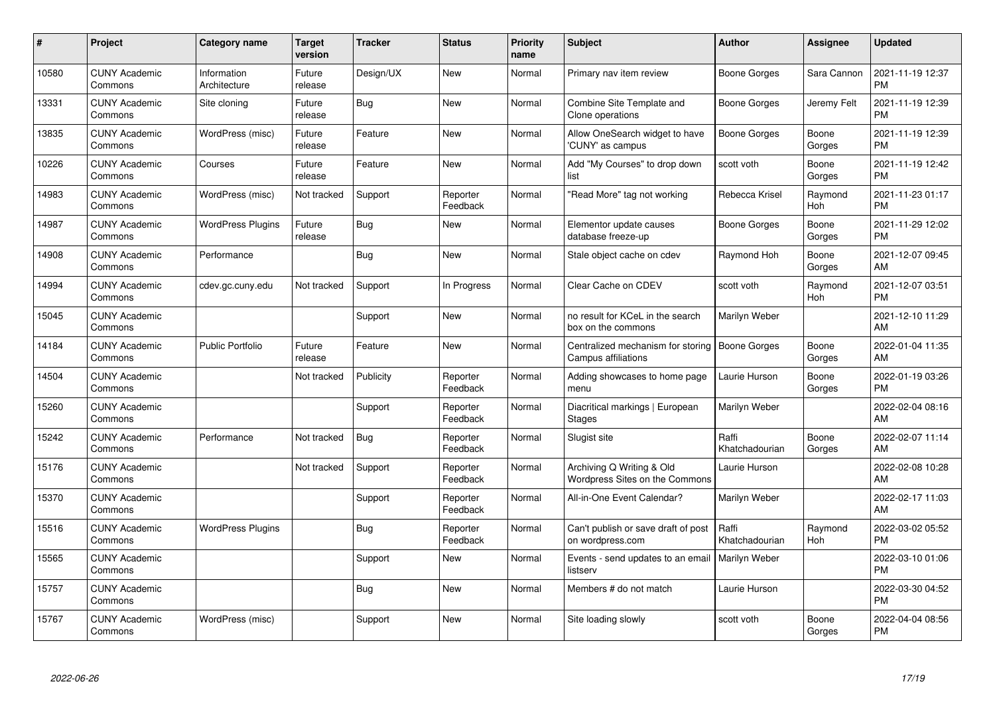| #     | Project                         | <b>Category name</b>        | <b>Target</b><br>version | <b>Tracker</b> | <b>Status</b>        | <b>Priority</b><br>name | <b>Subject</b>                                                | <b>Author</b>           | Assignee        | <b>Updated</b>                |
|-------|---------------------------------|-----------------------------|--------------------------|----------------|----------------------|-------------------------|---------------------------------------------------------------|-------------------------|-----------------|-------------------------------|
| 10580 | <b>CUNY Academic</b><br>Commons | Information<br>Architecture | Future<br>release        | Design/UX      | <b>New</b>           | Normal                  | Primary nav item review                                       | Boone Gorges            | Sara Cannon     | 2021-11-19 12:37<br><b>PM</b> |
| 13331 | <b>CUNY Academic</b><br>Commons | Site cloning                | Future<br>release        | Bug            | <b>New</b>           | Normal                  | Combine Site Template and<br>Clone operations                 | Boone Gorges            | Jeremy Felt     | 2021-11-19 12:39<br><b>PM</b> |
| 13835 | <b>CUNY Academic</b><br>Commons | WordPress (misc)            | Future<br>release        | Feature        | <b>New</b>           | Normal                  | Allow OneSearch widget to have<br>'CUNY' as campus            | <b>Boone Gorges</b>     | Boone<br>Gorges | 2021-11-19 12:39<br><b>PM</b> |
| 10226 | <b>CUNY Academic</b><br>Commons | Courses                     | Future<br>release        | Feature        | <b>New</b>           | Normal                  | Add "My Courses" to drop down<br>list                         | scott voth              | Boone<br>Gorges | 2021-11-19 12:42<br><b>PM</b> |
| 14983 | <b>CUNY Academic</b><br>Commons | WordPress (misc)            | Not tracked              | Support        | Reporter<br>Feedback | Normal                  | 'Read More" tag not working                                   | Rebecca Krisel          | Raymond<br>Hoh  | 2021-11-23 01:17<br><b>PM</b> |
| 14987 | <b>CUNY Academic</b><br>Commons | <b>WordPress Plugins</b>    | Future<br>release        | <b>Bug</b>     | New                  | Normal                  | Elementor update causes<br>database freeze-up                 | Boone Gorges            | Boone<br>Gorges | 2021-11-29 12:02<br><b>PM</b> |
| 14908 | <b>CUNY Academic</b><br>Commons | Performance                 |                          | Bug            | <b>New</b>           | Normal                  | Stale object cache on cdev                                    | Raymond Hoh             | Boone<br>Gorges | 2021-12-07 09:45<br>AM        |
| 14994 | <b>CUNY Academic</b><br>Commons | cdev.gc.cuny.edu            | Not tracked              | Support        | In Progress          | Normal                  | Clear Cache on CDEV                                           | scott voth              | Raymond<br>Hoh  | 2021-12-07 03:51<br><b>PM</b> |
| 15045 | <b>CUNY Academic</b><br>Commons |                             |                          | Support        | <b>New</b>           | Normal                  | no result for KCeL in the search<br>box on the commons        | Marilyn Weber           |                 | 2021-12-10 11:29<br>AM        |
| 14184 | <b>CUNY Academic</b><br>Commons | <b>Public Portfolio</b>     | Future<br>release        | Feature        | <b>New</b>           | Normal                  | Centralized mechanism for storing<br>Campus affiliations      | Boone Gorges            | Boone<br>Gorges | 2022-01-04 11:35<br>AM        |
| 14504 | <b>CUNY Academic</b><br>Commons |                             | Not tracked              | Publicity      | Reporter<br>Feedback | Normal                  | Adding showcases to home page<br>menu                         | Laurie Hurson           | Boone<br>Gorges | 2022-01-19 03:26<br><b>PM</b> |
| 15260 | <b>CUNY Academic</b><br>Commons |                             |                          | Support        | Reporter<br>Feedback | Normal                  | Diacritical markings   European<br><b>Stages</b>              | Marilyn Weber           |                 | 2022-02-04 08:16<br>AM        |
| 15242 | <b>CUNY Academic</b><br>Commons | Performance                 | Not tracked              | Bug            | Reporter<br>Feedback | Normal                  | Slugist site                                                  | Raffi<br>Khatchadourian | Boone<br>Gorges | 2022-02-07 11:14<br>AM        |
| 15176 | <b>CUNY Academic</b><br>Commons |                             | Not tracked              | Support        | Reporter<br>Feedback | Normal                  | Archiving Q Writing & Old<br>Wordpress Sites on the Commons   | Laurie Hurson           |                 | 2022-02-08 10:28<br>AM        |
| 15370 | <b>CUNY Academic</b><br>Commons |                             |                          | Support        | Reporter<br>Feedback | Normal                  | All-in-One Event Calendar?                                    | Marilyn Weber           |                 | 2022-02-17 11:03<br>AM        |
| 15516 | <b>CUNY Academic</b><br>Commons | <b>WordPress Plugins</b>    |                          | <b>Bug</b>     | Reporter<br>Feedback | Normal                  | Can't publish or save draft of post<br>on wordpress.com       | Raffi<br>Khatchadourian | Raymond<br>Hoh  | 2022-03-02 05:52<br><b>PM</b> |
| 15565 | <b>CUNY Academic</b><br>Commons |                             |                          | Support        | New                  | Normal                  | Events - send updates to an email   Marilyn Weber<br>listserv |                         |                 | 2022-03-10 01:06<br><b>PM</b> |
| 15757 | <b>CUNY Academic</b><br>Commons |                             |                          | Bug            | New                  | Normal                  | Members # do not match                                        | Laurie Hurson           |                 | 2022-03-30 04:52<br><b>PM</b> |
| 15767 | <b>CUNY Academic</b><br>Commons | WordPress (misc)            |                          | Support        | <b>New</b>           | Normal                  | Site loading slowly                                           | scott voth              | Boone<br>Gorges | 2022-04-04 08:56<br><b>PM</b> |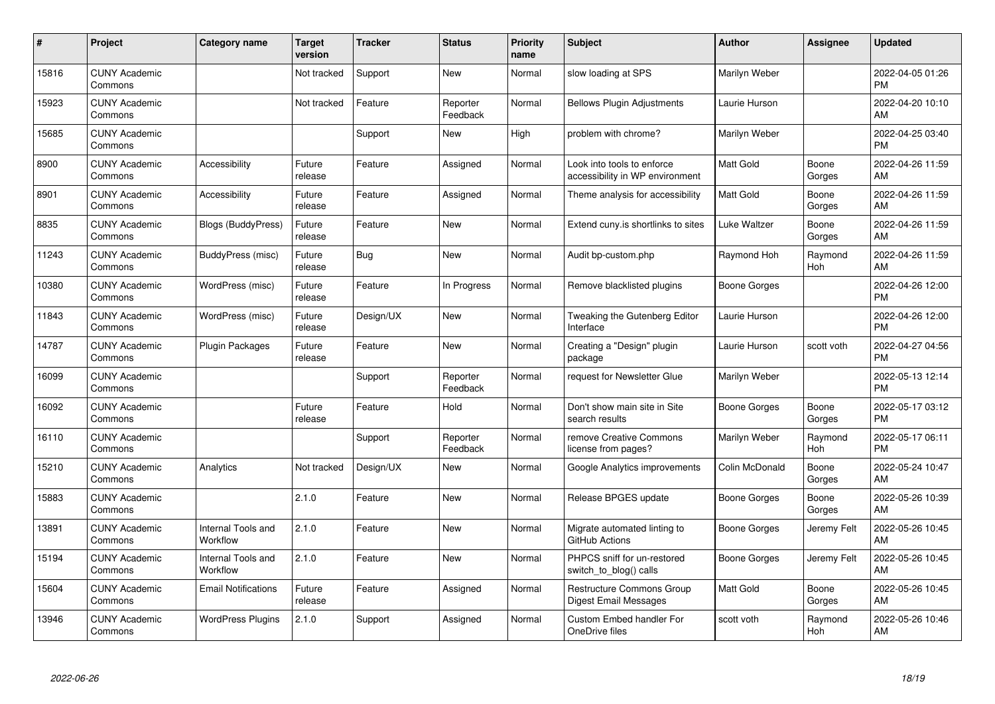| #     | Project                         | <b>Category name</b>           | <b>Target</b><br>version | <b>Tracker</b> | <b>Status</b>        | <b>Priority</b><br>name | <b>Subject</b>                                                | <b>Author</b>    | <b>Assignee</b>       | <b>Updated</b>                |
|-------|---------------------------------|--------------------------------|--------------------------|----------------|----------------------|-------------------------|---------------------------------------------------------------|------------------|-----------------------|-------------------------------|
| 15816 | <b>CUNY Academic</b><br>Commons |                                | Not tracked              | Support        | <b>New</b>           | Normal                  | slow loading at SPS                                           | Marilyn Weber    |                       | 2022-04-05 01:26<br><b>PM</b> |
| 15923 | <b>CUNY Academic</b><br>Commons |                                | Not tracked              | Feature        | Reporter<br>Feedback | Normal                  | <b>Bellows Plugin Adjustments</b>                             | Laurie Hurson    |                       | 2022-04-20 10:10<br>AM        |
| 15685 | <b>CUNY Academic</b><br>Commons |                                |                          | Support        | New                  | High                    | problem with chrome?                                          | Marilyn Weber    |                       | 2022-04-25 03:40<br><b>PM</b> |
| 8900  | <b>CUNY Academic</b><br>Commons | Accessibility                  | Future<br>release        | Feature        | Assigned             | Normal                  | Look into tools to enforce<br>accessibility in WP environment | Matt Gold        | Boone<br>Gorges       | 2022-04-26 11:59<br>AM        |
| 8901  | <b>CUNY Academic</b><br>Commons | Accessibility                  | Future<br>release        | Feature        | Assigned             | Normal                  | Theme analysis for accessibility                              | <b>Matt Gold</b> | Boone<br>Gorges       | 2022-04-26 11:59<br>AM        |
| 8835  | <b>CUNY Academic</b><br>Commons | Blogs (BuddyPress)             | Future<br>release        | Feature        | New                  | Normal                  | Extend cuny is shortlinks to sites                            | Luke Waltzer     | Boone<br>Gorges       | 2022-04-26 11:59<br>AM        |
| 11243 | <b>CUNY Academic</b><br>Commons | BuddyPress (misc)              | Future<br>release        | Bug            | <b>New</b>           | Normal                  | Audit bp-custom.php                                           | Raymond Hoh      | Raymond<br><b>Hoh</b> | 2022-04-26 11:59<br>AM        |
| 10380 | <b>CUNY Academic</b><br>Commons | WordPress (misc)               | Future<br>release        | Feature        | In Progress          | Normal                  | Remove blacklisted plugins                                    | Boone Gorges     |                       | 2022-04-26 12:00<br><b>PM</b> |
| 11843 | <b>CUNY Academic</b><br>Commons | WordPress (misc)               | Future<br>release        | Design/UX      | <b>New</b>           | Normal                  | Tweaking the Gutenberg Editor<br>Interface                    | Laurie Hurson    |                       | 2022-04-26 12:00<br><b>PM</b> |
| 14787 | <b>CUNY Academic</b><br>Commons | <b>Plugin Packages</b>         | Future<br>release        | Feature        | <b>New</b>           | Normal                  | Creating a "Design" plugin<br>package                         | Laurie Hurson    | scott voth            | 2022-04-27 04:56<br><b>PM</b> |
| 16099 | <b>CUNY Academic</b><br>Commons |                                |                          | Support        | Reporter<br>Feedback | Normal                  | request for Newsletter Glue                                   | Marilyn Weber    |                       | 2022-05-13 12:14<br><b>PM</b> |
| 16092 | <b>CUNY Academic</b><br>Commons |                                | Future<br>release        | Feature        | Hold                 | Normal                  | Don't show main site in Site<br>search results                | Boone Gorges     | Boone<br>Gorges       | 2022-05-17 03:12<br><b>PM</b> |
| 16110 | <b>CUNY Academic</b><br>Commons |                                |                          | Support        | Reporter<br>Feedback | Normal                  | remove Creative Commons<br>license from pages?                | Marilyn Weber    | Raymond<br>Hoh        | 2022-05-17 06:11<br><b>PM</b> |
| 15210 | <b>CUNY Academic</b><br>Commons | Analytics                      | Not tracked              | Design/UX      | <b>New</b>           | Normal                  | Google Analytics improvements                                 | Colin McDonald   | Boone<br>Gorges       | 2022-05-24 10:47<br>AM        |
| 15883 | <b>CUNY Academic</b><br>Commons |                                | 2.1.0                    | Feature        | <b>New</b>           | Normal                  | Release BPGES update                                          | Boone Gorges     | Boone<br>Gorges       | 2022-05-26 10:39<br>AM        |
| 13891 | <b>CUNY Academic</b><br>Commons | Internal Tools and<br>Workflow | 2.1.0                    | Feature        | <b>New</b>           | Normal                  | Migrate automated linting to<br>GitHub Actions                | Boone Gorges     | Jeremy Felt           | 2022-05-26 10:45<br>AM        |
| 15194 | <b>CUNY Academic</b><br>Commons | Internal Tools and<br>Workflow | 2.1.0                    | Feature        | New                  | Normal                  | PHPCS sniff for un-restored<br>switch to blog() calls         | Boone Gorges     | Jeremy Felt           | 2022-05-26 10:45<br>AM        |
| 15604 | <b>CUNY Academic</b><br>Commons | <b>Email Notifications</b>     | Future<br>release        | Feature        | Assigned             | Normal                  | <b>Restructure Commons Group</b><br>Digest Email Messages     | <b>Matt Gold</b> | Boone<br>Gorges       | 2022-05-26 10:45<br>AM        |
| 13946 | <b>CUNY Academic</b><br>Commons | <b>WordPress Plugins</b>       | 2.1.0                    | Support        | Assigned             | Normal                  | Custom Embed handler For<br>OneDrive files                    | scott voth       | Raymond<br>Hoh        | 2022-05-26 10:46<br>AM        |